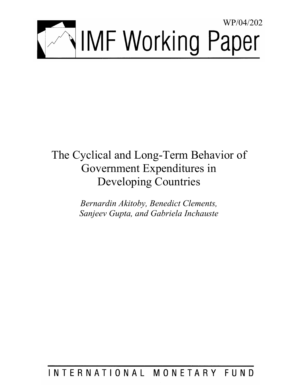

# The Cyclical and Long-Term Behavior of Government Expenditures in Developing Countries

*Bernardin Akitoby, Benedict Clements, Sanjeev Gupta, and Gabriela Inchauste* 

# INTERNATIONAL MONETARY FUND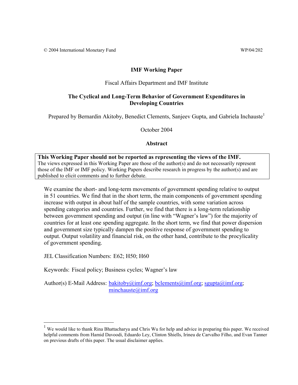# **IMF Working Paper**

## Fiscal Affairs Department and IMF Institute

# **The Cyclical and Long-Term Behavior of Government Expenditures in Developing Countries**

Prepared by Bernardin Akitoby, Benedict Clements, Sanjeev Gupta, and Gabriela Inchauste

October 2004

**Abstract**

**This Working Paper should not be reported as representing the views of the IMF.** The views expressed in this Working Paper are those of the author(s) and do not necessarily represent those of the IMF or IMF policy. Working Papers describe research in progress by the author(s) and are published to elicit comments and to further debate.

We examine the short- and long-term movements of government spending relative to output in 51 countries. We find that in the short term, the main components of government spending increase with output in about half of the sample countries, with some variation across spending categories and countries. Further, we find that there is a long-term relationship between government spending and output (in line with "Wagner's law") for the majority of countries for at least one spending aggregate. In the short term, we find that power dispersion and government size typically dampen the positive response of government spending to output. Output volatility and financial risk, on the other hand, contribute to the procylicality of government spending.

JEL Classification Numbers: E62; H50; H60

 $\overline{a}$ 

Keywords: Fiscal policy; Business cycles; Wagner's law

Author(s) E-Mail Address:  $\underline{bakitoby@imf.org}$ ;  $\underline{bclements@imf.org}$ ; sgupta $@imf.org$ ; minchauste@imf.org

<sup>&</sup>lt;sup>1</sup> We would like to thank Rina Bhattacharya and Chris Wu for help and advice in preparing this paper. We received helpful comments from Hamid Davoodi, Eduardo Ley, Clinton Shiells, Irineu de Carvalho Filho, and Evan Tanner on previous drafts of this paper. The usual disclaimer applies.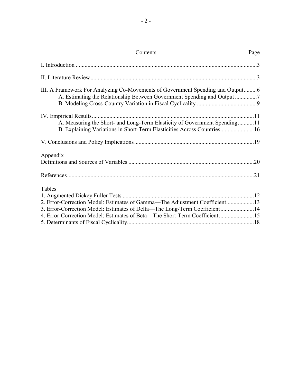| Contents                                                                                                                                                                                                                                       | Page |
|------------------------------------------------------------------------------------------------------------------------------------------------------------------------------------------------------------------------------------------------|------|
|                                                                                                                                                                                                                                                |      |
|                                                                                                                                                                                                                                                |      |
| III. A Framework For Analyzing Co-Movements of Government Spending and Output6                                                                                                                                                                 |      |
| A. Measuring the Short- and Long-Term Elasticity of Government Spending11<br>B. Explaining Variations in Short-Term Elasticities Across Countries16                                                                                            |      |
|                                                                                                                                                                                                                                                |      |
| Appendix                                                                                                                                                                                                                                       |      |
|                                                                                                                                                                                                                                                |      |
| Tables<br>2. Error-Correction Model: Estimates of Gamma—The Adjustment Coefficient13<br>3. Error-Correction Model: Estimates of Delta-The Long-Term Coefficient14<br>4. Error-Correction Model: Estimates of Beta-The Short-Term Coefficient15 |      |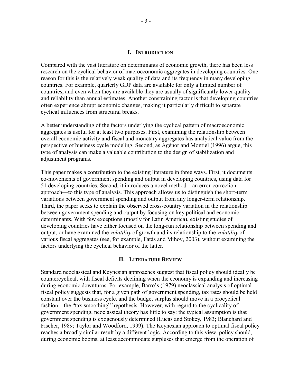#### **I. INTRODUCTION**

Compared with the vast literature on determinants of economic growth, there has been less research on the cyclical behavior of macroeconomic aggregates in developing countries. One reason for this is the relatively weak quality of data and its frequency in many developing countries. For example, quarterly GDP data are available for only a limited number of countries, and even when they are available they are usually of significantly lower quality and reliability than annual estimates. Another constraining factor is that developing countries often experience abrupt economic changes, making it particularly difficult to separate cyclical influences from structural breaks.

A better understanding of the factors underlying the cyclical pattern of macroeconomic aggregates is useful for at least two purposes. First, examining the relationship between overall economic activity and fiscal and monetary aggregates has analytical value from the perspective of business cycle modeling. Second, as Agénor and Montiel (1996) argue, this type of analysis can make a valuable contribution to the design of stabilization and adjustment programs.

This paper makes a contribution to the existing literature in three ways. First, it documents co-movements of government spending and output in developing countries, using data for 51 developing countries. Second, it introduces a novel method—an error-correction approach—to this type of analysis. This approach allows us to distinguish the short-term variations between government spending and output from any longer-term relationship. Third, the paper seeks to explain the observed cross-country variation in the relationship between government spending and output by focusing on key political and economic determinants. With few exceptions (mostly for Latin America), existing studies of developing countries have either focused on the long-run relationship between spending and output, or have examined the *volatility* of growth and its relationship to the *volatility* of various fiscal aggregates (see, for example, Fatás and Mihov, 2003), without examining the factors underlying the cyclical behavior of the latter.

#### **II. LITERATURE REVIEW**

Standard neoclassical and Keynesian approaches suggest that fiscal policy should ideally be countercyclical, with fiscal deficits declining when the economy is expanding and increasing during economic downturns. For example, Barro's (1979) neoclassical analysis of optimal fiscal policy suggests that, for a given path of government spending, tax rates should be held constant over the business cycle, and the budget surplus should move in a procyclical fashion—the "tax smoothing" hypothesis. However, with regard to the cyclicality of government spending, neoclassical theory has little to say: the typical assumption is that government spending is exogenously determined (Lucas and Stokey, 1983; Blanchard and Fischer, 1989; Taylor and Woodford, 1999). The Keynesian approach to optimal fiscal policy reaches a broadly similar result by a different logic. According to this view, policy should, during economic booms, at least accommodate surpluses that emerge from the operation of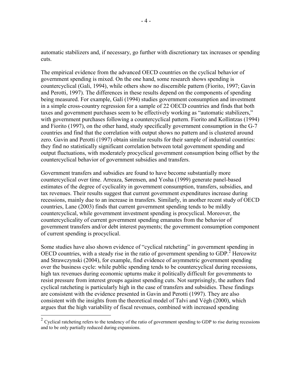automatic stabilizers and, if necessary, go further with discretionary tax increases or spending cuts.

The empirical evidence from the advanced OECD countries on the cyclical behavior of government spending is mixed. On the one hand, some research shows spending is countercyclical (Gali, 1994), while others show no discernible pattern (Fiorito, 1997; Gavin and Perotti, 1997). The differences in these results depend on the components of spending being measured. For example, Galí (1994) studies government consumption and investment in a simple cross-country regression for a sample of 22 OECD countries and finds that both taxes and government purchases seem to be effectively working as "automatic stabilizers," with government purchases following a countercyclical pattern. Fiorito and Kollintzas (1994) and Fiorito (1997), on the other hand, study specifically government consumption in the G-7 countries and find that the correlation with output shows no pattern and is clustered around zero. Gavin and Perotti (1997) obtain similar results for their sample of industrial countries: they find no statistically significant correlation between total government spending and output fluctuations, with moderately procyclical government consumption being offset by the countercyclical behavior of government subsidies and transfers.

Government transfers and subsidies are found to have become substantially more countercyclical over time. Arreaza, Sørensen, and Yosha (1999) generate panel-based estimates of the degree of cyclicality in government consumption, transfers, subsidies, and tax revenues. Their results suggest that current government expenditures increase during recessions, mainly due to an increase in transfers. Similarly, in another recent study of OECD countries, Lane (2003) finds that current government spending tends to be mildly countercyclical, while government investment spending is procyclical. Moreover, the countercyclicality of current government spending emanates from the behavior of government transfers and/or debt interest payments; the government consumption component of current spending is procyclical.

Some studies have also shown evidence of "cyclical ratcheting" in government spending in OECD countries, with a steady rise in the ratio of government spending to GDP.<sup>2</sup> Hercowitz and Strawczynski (2004), for example, find evidence of asymmetric government spending over the business cycle: while public spending tends to be countercyclical during recessions, high tax revenues during economic upturns make it politically difficult for governments to resist pressure from interest groups against spending cuts. Not surprisingly, the authors find cyclical ratcheting is particularly high in the case of transfers and subsidies. These findings are consistent with the evidence presented in Gavin and Perotti (1997). They are also consistent with the insights from the theoretical model of Talvi and Végh (2000), which argues that the high variability of fiscal revenues, combined with increased spending

 $\overline{a}$ 

 $2 \text{ Cyclic}$  ratcheting refers to the tendency of the ratio of government spending to GDP to rise during recessions and to be only partially reduced during expansions.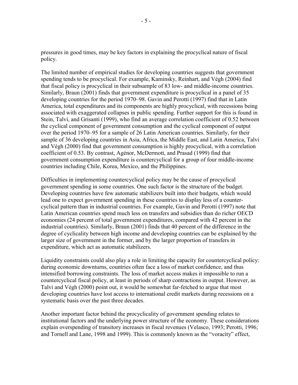pressures in good times, may be key factors in explaining the procyclical nature of fiscal policy.

The limited number of empirical studies for developing countries suggests that government spending tends to be procyclical. For example, Kaminsky, Reinhart, and Végh (2004) find that fiscal policy is procyclical in their subsample of 83 low- and middle-income countries. Similarly, Braun (2001) finds that government expenditure is procyclical in a panel of 35 developing countries for the period 1970–98. Gavin and Perotti (1997) find that in Latin America, total expenditures and its components are highly procyclical, with recessions being associated with exaggerated collapses in public spending. Further support for this is found in Stein, Talvi, and Grisanti (1999), who find an average correlation coefficient of 0.52 between the cyclical component of government consumption and the cyclical component of output over the period 1970–95 for a sample of 26 Latin American countries. Similarly, for their sample of 36 developing countries in Asia, Africa, the Middle East, and Latin America, Talvi and Végh (2000) find that government consumption is highly procyclical, with a correlation coefficient of 0.53. By contrast, Agénor, McDermott, and Prasad (1999) find that government consumption expenditure is countercyclical for a group of four middle-income countries including Chile, Korea, Mexico, and the Philippines.

Difficulties in implementing countercyclical policy may be the cause of procyclical government spending in some countries. One such factor is the structure of the budget. Developing countries have few automatic stabilizers built into their budgets, which would lead one to expect government spending in these countries to display less of a countercyclical pattern than in industrial countries. For example, Gavin and Perotti (1997) note that Latin American countries spend much less on transfers and subsidies than do richer OECD economies (24 percent of total government expenditures, compared with 42 percent in the industrial countries). Similarly, Braun (2001) finds that 40 percent of the difference in the degree of cyclicality between high income and developing countries can be explained by the larger size of government in the former, and by the larger proportion of transfers in expenditure, which act as automatic stabilizers.

Liquidity constraints could also play a role in limiting the capacity for countercyclical policy: during economic downturns, countries often face a loss of market confidence, and thus intensified borrowing constraints. The loss of market access makes it impossible to run a countercyclical fiscal policy, at least in periods of sharp contractions in output. However, as Talvi and Végh (2000) point out, it would be somewhat far-fetched to argue that most developing countries have lost access to international credit markets during recessions on a systematic basis over the past three decades.

Another important factor behind the procyclicality of government spending relates to institutional factors and the underlying power structure of the economy. These considerations explain overspending of transitory increases in fiscal revenues (Velasco, 1993; Perotti, 1996; and Tornell and Lane, 1998 and 1999). This is commonly known as the "voracity" effect,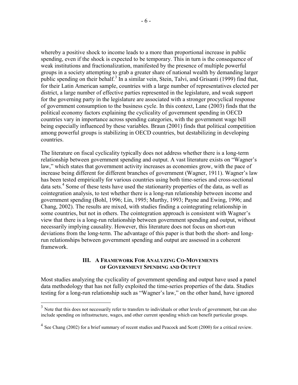whereby a positive shock to income leads to a more than proportional increase in public spending, even if the shock is expected to be temporary. This in turn is the consequence of weak institutions and fractionalization, manifested by the presence of multiple powerful groups in a society attempting to grab a greater share of national wealth by demanding larger public spending on their behalf.<sup>3</sup> In a similar vein, Stein, Talvi, and Grisanti (1999) find that, for their Latin American sample, countries with a large number of representatives elected per district, a large number of effective parties represented in the legislature, and weak support for the governing party in the legislature are associated with a stronger procyclical response of government consumption to the business cycle. In this context, Lane (2003) finds that the political economy factors explaining the cyclicality of government spending in OECD countries vary in importance across spending categories, with the government wage bill being especially influenced by these variables. Braun (2001) finds that political competition among powerful groups is stabilizing in OECD countries, but destabilizing in developing countries.

The literature on fiscal cyclicality typically does not address whether there is a long-term relationship between government spending and output. A vast literature exists on "Wagner's law," which states that government activity increases as economies grow, with the pace of increase being different for different branches of government (Wagner, 1911). Wagner's law has been tested empirically for various countries using both time-series and cross-sectional data sets.<sup>4</sup> Some of these tests have used the stationarity properties of the data, as well as cointegration analysis, to test whether there is a long-run relationship between income and government spending (Bohl, 1996; Lin, 1995; Murthy, 1993; Payne and Ewing, 1996; and Chang, 2002). The results are mixed, with studies finding a cointegrating relationship in some countries, but not in others. The cointegration approach is consistent with Wagner's view that there is a long-run relationship between government spending and output, without necessarily implying causality. However, this literature does not focus on short-run deviations from the long-term. The advantage of this paper is that both the short- and longrun relationships between government spending and output are assessed in a coherent framework.

# **III. A FRAMEWORK FOR ANALYZING CO-MOVEMENTS OF GOVERNMENT SPENDING AND OUTPUT**

Most studies analyzing the cyclicality of government spending and output have used a panel data methodology that has not fully exploited the time-series properties of the data. Studies testing for a long-run relationship such as "Wagner's law," on the other hand, have ignored

 $\overline{a}$ 

 $3$  Note that this does not necessarily refer to transfers to individuals or other levels of government, but can also include spending on infrastructure, wages, and other current spending which can benefit particular groups.

<sup>4</sup> See Chang (2002) for a brief summary of recent studies and Peacock and Scott (2000) for a critical review.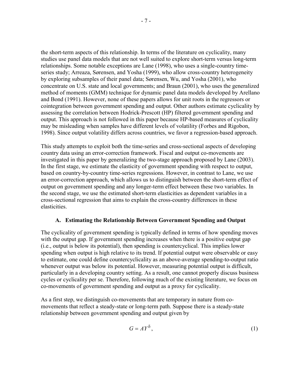the short-term aspects of this relationship. In terms of the literature on cyclicality, many studies use panel data models that are not well suited to explore short-term versus long-term relationships. Some notable exceptions are Lane (1998), who uses a single-country timeseries study; Arreaza, Sørensen, and Yosha (1999), who allow cross-country heterogeneity by exploring subsamples of their panel data; Sørensen, Wu, and Yosha (2001), who concentrate on U.S. state and local governments; and Braun (2001), who uses the generalized method of moments (GMM) technique for dynamic panel data models developed by Arellano and Bond (1991). However, none of these papers allows for unit roots in the regressors or cointegration between government spending and output. Other authors estimate cyclicality by assessing the correlation between Hodrick-Prescott (HP) filtered government spending and output. This approach is not followed in this paper because HP-based measures of cyclicality may be misleading when samples have different levels of volatility (Forbes and Rigobon, 1998). Since output volatility differs across countries, we favor a regression-based approach.

This study attempts to exploit both the time-series and cross-sectional aspects of developing country data using an error-correction framework. Fiscal and output co-movements are investigated in this paper by generalizing the two-stage approach proposed by Lane (2003). In the first stage, we estimate the elasticity of government spending with respect to output, based on country-by-country time-series regressions. However, in contrast to Lane, we use an error-correction approach, which allows us to distinguish between the short-term effect of output on government spending and any longer-term effect between these two variables. In the second stage, we use the estimated short-term elasticities as dependent variables in a cross-sectional regression that aims to explain the cross-country differences in these elasticities.

# **A. Estimating the Relationship Between Government Spending and Output**

The cyclicality of government spending is typically defined in terms of how spending moves with the output gap. If government spending increases when there is a positive output gap (i.e., output is below its potential), then spending is countercyclical. This implies lower spending when output is high relative to its trend. If potential output were observable or easy to estimate, one could define countercyclicality as an above-average spending-to-output ratio whenever output was below its potential. However, measuring potential output is difficult, particularly in a developing country setting. As a result, one cannot properly discuss business cycles or cyclicality per se. Therefore, following much of the existing literature, we focus on co-movements of government spending and output as a proxy for cyclicality.

As a first step, we distinguish co-movements that are temporary in nature from comovements that reflect a steady-state or long-term path. Suppose there is a steady-state relationship between government spending and output given by

$$
G = A Y^{\delta}, \tag{1}
$$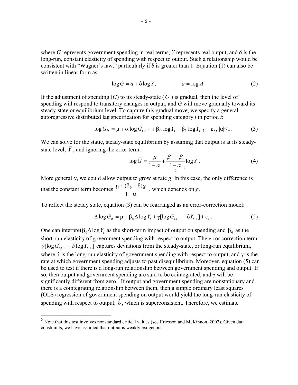where *G* represents government spending in real terms, *Y* represents real output, and  $\delta$  is the long-run, constant elasticity of spending with respect to output. Such a relationship would be consistent with "Wagner's law," particularly if  $\delta$  is greater than 1. Equation (1) can also be written in linear form as

$$
\log G = a + \delta \log Y, \qquad a = \log A. \tag{2}
$$

If the adjustment of spending (*G*) to its steady-state ( $\overline{G}$ ) is gradual, then the level of spending will respond to transitory changes in output, and *G* will move gradually toward its steady-state or equilibrium level. To capture this gradual move, we specify a general autoregressive distributed lag specification for spending category *i* in period *t*:

$$
\log G_{it} = \mu + \alpha \log G_{i,t-1} + \beta_0 \log Y_t + \beta_1 \log Y_{t-1} + \varepsilon_t, |\alpha| < 1. \tag{3}
$$

We can solve for the static, steady-state equilibrium by assuming that output is at its steadystate level,  $\overline{Y}$ , and ignoring the error term:

$$
\log \overline{G} = \frac{\mu}{1 - \alpha} + \frac{\beta_0 + \beta_1}{\frac{1 - \alpha}{\delta}} \log \overline{Y} \,. \tag{4}
$$

More generally, we could allow output to grow at rate *g*. In this case, the only difference is that the constant term becomes  $\frac{\mu + (\beta_0 - \delta)}{1 - \alpha}$ 1  $\frac{(\beta_0 - \delta)g}{\delta}$ , which depends on *g*.

To reflect the steady state, equation (3) can be rearranged as an error-correction model:

$$
\Delta \log G_{it} = \mu + \beta_0 \Delta \log Y_t + \gamma [\log G_{i,t-1} - \delta Y_{t-1}] + \varepsilon_t.
$$
\n(5)

One can interpret  $\beta_0 \Delta \log Y$ , as the short-term impact of output on spending and  $\beta_0$  as the short-run elasticity of government spending with respect to output. The error correction term  $\gamma$ [log  $G_{i,t-1} - \delta \log Y_{t-1}$ ] captures deviations from the steady-state, or long-run equilibrium, where  $\delta$  is the long-run elasticity of government spending with respect to output, and  $\gamma$  is the rate at which government spending adjusts to past disequilibrium. Moreover, equation (5) can be used to test if there is a long-run relationship between government spending and output. If so, then output and government spending are said to be cointegrated, and γ will be significantly different from zero.<sup>5</sup> If output and government spending are nonstationary and there is a cointegrating relationship between them, then a simple ordinary least squares (OLS) regression of government spending on output would yield the long-run elasticity of spending with respect to output,  $\hat{\delta}$ , which is superconsistent. Therefore, we estimate

1

<sup>5</sup> Note that this test involves nonstandard critical values (see Ericsson and McKinnon, 2002). Given data constraints, we have assumed that output is weakly exogenous.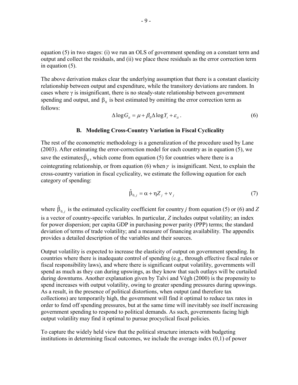equation (5) in two stages: (i) we run an OLS of government spending on a constant term and output and collect the residuals, and (ii) we place these residuals as the error correction term in equation (5).

The above derivation makes clear the underlying assumption that there is a constant elasticity relationship between output and expenditure, while the transitory deviations are random. In cases where  $\gamma$  is insignificant, there is no steady-state relationship between government spending and output, and  $\beta_0$  is best estimated by omitting the error correction term as follows:

$$
\Delta \log G_{it} = \mu + \beta_0 \Delta \log Y_t + \varepsilon_{it} \,. \tag{6}
$$

#### **B. Modeling Cross-Country Variation in Fiscal Cyclicality**

The rest of the econometric methodology is a generalization of the procedure used by Lane (2003). After estimating the error-correction model for each country as in equation (5), we save the estimates  $\hat{\beta}_0$ , which come from equation (5) for countries where there is a cointegrating relationship, or from equation (6) when  $\gamma$  is insignificant. Next, to explain the cross-country variation in fiscal cyclicality, we estimate the following equation for each category of spending:

$$
\hat{\beta}_{0,j} = \alpha + \eta Z_j + v_j \tag{7}
$$

where  $\hat{\beta}_{0,j}$  is the estimated cyclicality coefficient for country *j* from equation (5) or (6) and *Z* is a vector of country-specific variables. In particular, *Z* includes output volatility; an index for power dispersion; per capita GDP in purchasing power parity (PPP) terms; the standard deviation of terms of trade volatility; and a measure of financing availability. The appendix provides a detailed description of the variables and their sources.

Output volatility is expected to increase the elasticity of output on government spending. In countries where there is inadequate control of spending (e.g., through effective fiscal rules or fiscal responsibility laws), and where there is significant output volatility, governments will spend as much as they can during upswings, as they know that such outlays will be curtailed during downturns. Another explanation given by Talvi and Végh (2000) is the propensity to spend increases with output volatility, owing to greater spending pressures during upswings. As a result, in the presence of political distortions, when output (and therefore tax collections) are temporarily high, the government will find it optimal to reduce tax rates in order to fend off spending pressures, but at the same time will inevitably see itself increasing government spending to respond to political demands. As such, governments facing high output volatility may find it optimal to pursue procyclical fiscal policies.

To capture the widely held view that the political structure interacts with budgeting institutions in determining fiscal outcomes, we include the average index (0,1) of power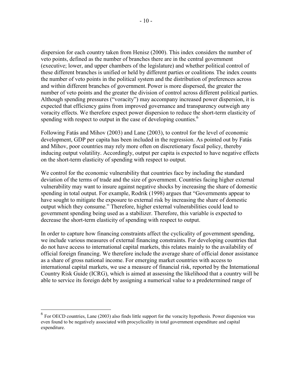dispersion for each country taken from Henisz (2000). This index considers the number of veto points, defined as the number of branches there are in the central government (executive; lower, and upper chambers of the legislature) and whether political control of these different branches is unified or held by different parties or coalitions. The index counts the number of veto points in the political system and the distribution of preferences across and within different branches of government. Power is more dispersed, the greater the number of veto points and the greater the division of control across different political parties. Although spending pressures ("voracity") may accompany increased power dispersion, it is expected that efficiency gains from improved governance and transparency outweigh any voracity effects. We therefore expect power dispersion to reduce the short-term elasticity of spending with respect to output in the case of developing counties.<sup>6</sup>

Following Fatás and Mihov (2003) and Lane (2003), to control for the level of economic development, GDP per capita has been included in the regression. As pointed out by Fatás and Mihov, poor countries may rely more often on discretionary fiscal policy, thereby inducing output volatility. Accordingly, output per capita is expected to have negative effects on the short-term elasticity of spending with respect to output.

We control for the economic vulnerability that countries face by including the standard deviation of the terms of trade and the size of government. Countries facing higher external vulnerability may want to insure against negative shocks by increasing the share of domestic spending in total output. For example, Rodrik (1998) argues that "Governments appear to have sought to mitigate the exposure to external risk by increasing the share of domestic output which they consume." Therefore, higher external vulnerabilities could lead to government spending being used as a stabilizer. Therefore, this variable is expected to decrease the short-term elasticity of spending with respect to output.

In order to capture how financing constraints affect the cyclicality of government spending, we include various measures of external financing constraints. For developing countries that do not have access to international capital markets, this relates mainly to the availability of official foreign financing. We therefore include the average share of official donor assistance as a share of gross national income. For emerging market countries with access to international capital markets, we use a measure of financial risk, reported by the International Country Risk Guide (ICRG), which is aimed at assessing the likelihood that a country will be able to service its foreign debt by assigning a numerical value to a predetermined range of

1

<sup>6</sup> For OECD countries, Lane (2003) also finds little support for the voracity hypothesis. Power dispersion was even found to be negatively associated with procyclicality in total government expenditure and capital expenditure.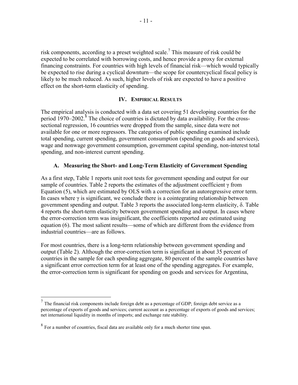risk components, according to a preset weighted scale.<sup>7</sup> This measure of risk could be expected to be correlated with borrowing costs, and hence provide a proxy for external financing constraints. For countries with high levels of financial risk—which would typically be expected to rise during a cyclical downturn—the scope for countercyclical fiscal policy is likely to be much reduced. As such, higher levels of risk are expected to have a positive effect on the short-term elasticity of spending.

# **IV. EMPIRICAL RESULTS**

The empirical analysis is conducted with a data set covering 51 developing countries for the period  $1970-2002$ .<sup>8</sup> The choice of countries is dictated by data availability. For the crosssectional regression, 16 countries were dropped from the sample, since data were not available for one or more regressors. The categories of public spending examined include total spending, current spending, government consumption (spending on goods and services), wage and nonwage government consumption, government capital spending, non-interest total spending, and non-interest current spending.

# **A. Measuring the Short- and Long-Term Elasticity of Government Spending**

As a first step, Table 1 reports unit root tests for government spending and output for our sample of countries. Table 2 reports the estimates of the adjustment coefficient  $\gamma$  from Equation (5), which are estimated by OLS with a correction for an autoregressive error term. In cases where  $\gamma$  is significant, we conclude there is a cointegrating relationship between government spending and output. Table 3 reports the associated long-term elasticity, δ. Table 4 reports the short-term elasticity between government spending and output. In cases where the error-correction term was insignificant, the coefficients reported are estimated using equation (6). The most salient results—some of which are different from the evidence from industrial countries—are as follows.

For most countries, there is a long-term relationship between government spending and output (Table 2). Although the error-correction term is significant in about 35 percent of countries in the sample for each spending aggregate, 80 percent of the sample countries have a significant error correction term for at least one of the spending aggregates. For example, the error-correction term is significant for spending on goods and services for Argentina,

 $<sup>7</sup>$  The financial risk components include foreign debt as a percentage of GDP; foreign debt service as a</sup> percentage of exports of goods and services; current account as a percentage of exports of goods and services; net international liquidity in months of imports; and exchange rate stability.

<sup>8</sup> For a number of countries, fiscal data are available only for a much shorter time span.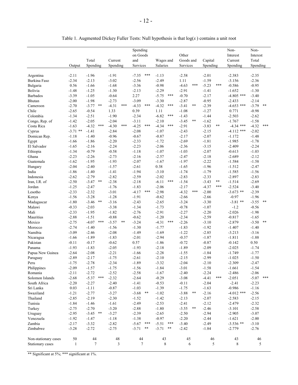|                                          | Output                 | Total<br>Spending  | Current<br>Spending           | Spending<br>on Goods<br>and<br>Services | Wages and<br>Salaries | Other<br>Goods and<br>Services | Capital<br>Spending | Non-<br>Interest<br>Current<br>Spending | Non-<br>Interest<br>Total<br>Spending |
|------------------------------------------|------------------------|--------------------|-------------------------------|-----------------------------------------|-----------------------|--------------------------------|---------------------|-----------------------------------------|---------------------------------------|
|                                          |                        |                    |                               |                                         |                       |                                |                     |                                         |                                       |
| Argentina                                | $-2.11$                | $-1.96$            | $-1.91$                       | ***<br>$-7.35$                          | $-1.13$               | $-2.58$                        | $-2.01$             | $-2.383$                                | $-2.35$                               |
| Burkina Faso                             | $-2.34$                | $-2.13$            | $-3.02$                       | $-2.56$                                 | $-2.49$               | 1.11                           | $-1.59$             | $-3.156$                                | $-2.36$                               |
| Bulgaria                                 | 0.56                   | $-1.66$            | $-1.68$                       | $-3.36$                                 | $-0.98$               | $-4.63$<br>***                 | $-5.23$<br>***      | $-0.586$                                | $-0.95$                               |
| Bolivia                                  | $-1.48$                | $-1.25$            | $-1.30$                       | $-2.13$                                 | $-2.29$               | $-2.91$                        | $-1.41$             | $-1.652$                                | $-1.30$                               |
| <b>Barbados</b>                          | $-3.39$                | $-1.05$            | $-0.64$                       | 2.27                                    | $-5.75$<br>***        | $-0.70$                        | $-2.17$             | $-4.805$ ***                            | $-3.40$                               |
| Bhutan                                   | $-2.00$                | $-1.98$            | $-2.73$                       | $-3.09$                                 | $-3.30$               | $-2.87$                        | $-0.95$             | $-2.433$                                | $-2.14$                               |
| Cameroon                                 | $-2.70$                | $-3.77$<br>$***$   | $-4.31$<br>***                | $-4.33$<br>***                          | $-4.32$<br>***        | $-3.41$<br>**                  | $-2.39$             | $-4.653$ ***                            | $-3.79$<br>$**$                       |
| Chile                                    | $-2.65$                | $-0.54$            | 1.33                          | 0.39                                    | 1.11                  | $-1.08$                        | $-1.27$             | 0.771                                   | $-0.98$                               |
| Colombia                                 | $-1.34$                | $-2.51$            | $-1.90$                       | $-2.34$                                 | $-6.82$<br>***        | $-1.43$                        | $-1.44$             | $-2.503$                                | $-2.62$                               |
| Congo, Rep. of                           | $-1.42$                | $-2.05$            | $-2.04$                       | $-3.11$                                 | $-2.10$               | $\ast\ast$<br>$-3.45$          | $-1.62$             | $-1.767$                                | $-1.58$                               |
| Costa Rica                               | $-1.63$                | $-4.32$<br>$***$   | $-4.30$<br>***                | $-4.25$<br>***                          | $-4.34$<br>***        | $-2.91$                        | $-3.83$<br>$***$    | $-4.34$ ***                             | $-4.32$<br>$***$                      |
| Cyprus                                   | $-3.71$ **             | $-1.41$            | $-2.84$                       | $-2.08$                                 | $-1.07$               | $-2.43$                        | $-2.15$             | $-4.112$ ***                            | $-2.02$                               |
| Domican Rep.                             | $-1.18$                | $-1.40$            | $-0.96$                       | $-0.67$                                 | $-0.87$               | $-2.17$                        | $-2.07$             | $-1.172$                                | $-1.48$                               |
| Egypt                                    | $-1.66$                | $-1.86$            | $-2.20$                       | $-2.33$                                 | $-1.72$               | $-2.69$                        | $-1.81$             | $-1.985$                                | $-1.78$                               |
| El Salvador                              | $-1.65$                | $-2.16$            | $-2.24$                       | $-2.23$                                 | $-2.06$               | $-2.36$                        | $-3.15$             | $-2.409$                                | $-2.24$                               |
| Ethiopia                                 | $-1.34$                | $-0.79$            | $-0.58$                       | $-1.18$                                 | $-1.07$               | $-1.03$                        | $-2.07$             | $-0.613$                                | $-1.03$                               |
| Ghana                                    | $-2.23$                | $-2.26$            | $-2.73$                       | $-2.16$                                 | $-2.57$               | $-2.47$                        | $-2.18$             | $-2.689$                                | $-2.12$                               |
| Guatemala                                | $-1.62$                | $-1.95$            | $-1.93$                       | $-2.07$                                 | $-1.67$               | $-1.97$                        | $-2.22$             | $-1.584$                                | $-1.58$                               |
| Hungary                                  | $-2.04$                | $-2.40$            | $-1.57$                       | $-2.61$                                 | 0.38                  | $-1.65$                        | $-1.96$             | $-1.512$                                | $-2.47$                               |
| India                                    | $-1.86$                | $-1.40$            | $-1.41$                       | $-1.94$                                 | $-3.10$               | $-1.74$                        | $-1.79$             | $-1.585$                                | $-1.56$                               |
| Indonesia                                | $-2.62$                | $-2.79$            | $-2.82$                       | $-2.59$                                 | $-2.02$               | $-2.83$                        | $-2.33$             | $-2.897$                                | $-2.83$                               |
| Iran, I.R. of                            | $-2.50$                | $-3.47$<br>$***$   | $-2.38$                       | $-2.18$                                 | $-6.11$<br>***        | $-1.54$                        | $-3.43$<br>$***$    | $-1.514$                                | $-2.69$                               |
| Jordan                                   | $-1.25$                | $-2.47$            | $-1.76$                       | $-1.83$                                 | $-2.06$               | $-2.17$                        | $-4.37$<br>***      | $-2.524$                                | $-3.40$                               |
| Lesotho                                  | $-2.33$                | $-2.32$            | $-3.01$                       | $***$<br>$-4.17$                        | $-2.98$               | ***<br>$-4.32$                 | $-2.00$             | $-3.673$ **                             | $-2.39$                               |
| Kenya                                    | $-1.56$                | $-3.28$            | $-1.28$                       | $-1.91$                                 | $-0.62$               | $-2.66$                        | $-2.66$             | $-0.97$                                 | $-1.96$                               |
| Madagascar                               | $-1.80$                | $-3.46$<br>$***$   | $-3.16$                       | $-2.43$                                 | $-2.65$               | $-3.24$                        | $-3.30$             | $-3.81$ **                              | $-3.55$<br>$\ast\ast$                 |
| Malawi                                   | $-0.33$                | $-2.03$            | $-3.38$                       | $-1.34$                                 | $-1.73$               | $-0.78$                        | $-1.07$             | $-1.2$                                  | $-0.56$                               |
| Mali                                     | $-2.33$                | $-1.95$            | $-1.82$                       | $-2.76$                                 | $-2.91$               | $-2.27$                        | $-2.20$             | $-2.026$                                | $-1.98$                               |
| Mauritius                                | $-2.88$                | $-1.51$<br>$***$   | $-0.88$                       | $-0.62$                                 | $-1.20$<br>$***$      | $-2.34$                        | $-2.59$             | $-0.817$                                | $-1.65$<br>$***$                      |
| Mexico                                   | $-2.75$                | $-4.07$            | $-3.57$<br>**                 | $-3.24$                                 | $-4.31$               | $-2.26$                        | $-3.10$             | $-2.879$                                | $-3.50$                               |
| Morocco                                  | $-2.74$                | $-1.40$            | $-1.56$                       | $-1.30$                                 | $-1.77$               | $-1.83$                        | $-1.92$             | $-1.407$                                | $-1.40$                               |
| Namibia                                  | $-3.09$                | $-2.46$            | $-2.08$                       | $-1.49$                                 | $-1.69$               | $-1.22$                        | $-2.85$             | $-3.213$                                | $-3.16$                               |
| Nicaragua                                | $-1.66$                | $-1.89$            | $-1.83$                       | $-2.01$                                 | $-2.94$               | $-0.37$                        | $-1.87$             | $-1.811$                                | $-1.88$                               |
| Pakistan                                 | $-0.11$                | $-0.17$            | $-0.62$                       | 0.57                                    | $-1.86$               | $-0.72$                        | $-0.87$             | $-0.142$                                | 0.50                                  |
| Panama<br>Papua New Guinea               | $-1.93$<br>$-2.64$     | $-1.83$<br>$-2.08$ | $-2.05$<br>$-2.21$            | $-1.93$<br>$-1.66$                      | $-2.18$<br>$-2.28$    | $-1.89$<br>$-1.55$             | $-2.09$<br>$-1.84$  | $-2.025$<br>$-1.749$                    | $-1.74$<br>$-1.77$                    |
|                                          |                        |                    |                               |                                         | $-2.10$               |                                |                     |                                         |                                       |
| Paraguay                                 | $-2.89$                | $-2.17$            | $-1.75$                       | $-2.61$                                 |                       | $-2.15$<br>$-2.04$             | $-2.99$<br>$-2.10$  | $-1.025$                                | $-1.50$                               |
| Peru<br>Philippines                      | $-1.75$<br>$-2.09$     | $-2.78$<br>$-1.57$ | $-2.34$<br>$-1.75$            | $-1.89$<br>$-1.56$                      | $-3.32$<br>$-1.84$    | $-3.01$                        | $-1.58$             | $-2.309$<br>$-1.661$                    | $-2.47$<br>$-1.54$                    |
| Romania                                  | $-2.11$                | $-2.72$            | $-2.52$                       | $-2.58$                                 | $-1.67$               | $-2.40$                        | $-2.24$             | $-2.486$                                | $-2.06$                               |
| Solomon Islands                          | $-2.68$                | $-5.37$<br>***     | $-2.32$                       | $-2.64$                                 | $-0.29$               | $-3.08$                        | $-4.41$<br>***      | $-2.051$                                | $-5.07$ ***                           |
| South Africa                             | $-2.20$                | $-2.27$            | $-2.40$                       | $-1.41$                                 | $-0.53$               | $-0.11$                        | $-2.04$             | $-2.41$                                 | $-2.23$                               |
| Sri Lanka                                | 0.03                   | $-1.11$            | $-0.87$                       | $-1.03$                                 | $-1.39$               | $-1.75$                        | $-1.63$             | $-0.986$                                | $-1.16$                               |
| Swaziland                                | $-1.21$                | $-2.77$            | $-3.27$                       | $-3.68$<br>**                           | $-1.02$               | $-3.88$<br>**                  | $-2.16$             | $-4.012$ ***                            | $-2.56$                               |
| Thailand                                 | $-2.85$                | $-2.19$            | $-2.30$                       | $-1.52$                                 | $-1.42$               | $-2.13$                        | $-2.07$             | $-2.583$                                | $-2.15$                               |
| Tunisia                                  | $-1.84$                | $-1.46$            | $-1.61$                       | $-2.49$                                 | $-2.53$               | $-2.41$                        | $-2.12$             | $-2.479$                                | $-2.32$                               |
| Turkey                                   | $-2.75$                | $-2.70$            | $-3.20$                       | $-2.88$                                 | $-1.80$               | $***$<br>$-3.55$               | $-2.46$             | $-3.101$                                | $-2.58$                               |
| Uruguay                                  | $-2.95$                | $-3.45$<br>$***$   | $-3.27$                       | $-2.39$                                 | $-2.65$               | $-2.50$                        | $-2.94$             | $-2.905$                                | $-3.07$                               |
| Venezuela                                | $-1.92$                | $-1.47$            | $-1.18$                       | $-1.38$                                 | $-0.97$               | $-2.20$                        | $-2.44$             | $-1.621$                                | $-2.00$                               |
| Zambia                                   | $-2.17$                | $-3.32$            | $-2.82$                       | ***<br>$-5.67$                          | ***<br>$-5.51$        | $-3.40$                        | $-2.49$             | $-3.536$ **                             | $-3.10$                               |
| Zimbabwe                                 | $-3.28$                | $-2.72$            | $-2.75$                       | $-3.71$<br>$***$                        | **<br>$-3.71$         | $-2.42$                        | $-1.84$             | $-2.779$                                | $-2.76$                               |
|                                          |                        |                    |                               |                                         |                       |                                |                     |                                         |                                       |
| Non-stationary cases<br>Stationary cases | $50\,$<br>$\mathbf{1}$ | 44<br>7            | $\sqrt{48}$<br>$\mathfrak{Z}$ | $44\,$<br>$\tau$                        | 43<br>$\,8\,$         | 45<br>6                        | 46<br>5             | 43<br>8                                 | $46\,$<br>5                           |
|                                          |                        |                    |                               |                                         |                       |                                |                     |                                         |                                       |

Table 1. Augmented Dickey Fuller Tests: Null hypothesis is that log(*x* ) contains a unit root

\*\* Significant at 5%; \*\*\* significant at 1%.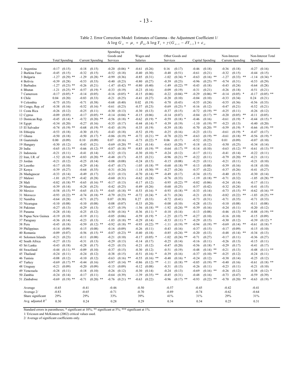Table 2. Error Correction Model: Estimates of Gamma - the Adjustment Coefficient 1/  $\Delta \log G_{it} = \mu_i + \beta_{Gi} \Delta \log Y_t + \gamma (G_{it-1} - \delta Y_{t-1}) + \varepsilon_{it}$ 

|                          |                    |                       |                    |                  | Spending on        |                      |                    |                           |                    |                        |                    |                  |                    |                         |                                             |  |
|--------------------------|--------------------|-----------------------|--------------------|------------------|--------------------|----------------------|--------------------|---------------------------|--------------------|------------------------|--------------------|------------------|--------------------|-------------------------|---------------------------------------------|--|
|                          |                    |                       |                    |                  | Goods and          |                      | Wages and          |                           |                    | Other Goods and        |                    |                  | Non-Interest       |                         | Non-Interest Total                          |  |
|                          |                    | <b>Total Spending</b> |                    | Current Spending | Services           |                      | Salaries           |                           | Services           |                        |                    | Capital Spending |                    | <b>Current Spending</b> | Spending                                    |  |
| 1 Argentina              |                    | $-0.17$ $(0.15)$      | $-0.18$            | (0.15)           | $-0.20$            | $(0.06)$ *           | $-0.61$            | (0.26)                    | 0.16               | (0.17)                 | $-0.46$            | (0.18)           | $-0.36$            | (0.18)                  | $-0.27$<br>(0.16)                           |  |
| 2 Burkina Faso           | $-0.45$            | (0.15)                | $-0.32$            | (0.15)           | $-0.52$            | (0.18)               | $-0.40$            | (0.30)                    | $-0.48$            | (0.51)                 | $-0.61$            | (0.21)           | $-0.32$            | (0.15)                  | $-0.44$<br>(0.15)                           |  |
| 3 Bulgaria               | $-1.27$            | $(0.29)$ **           | $-1.29$            | $(0.28)$ **      | $-0.99$            | (0.36)               | $-0.85$            | (0.31)                    | $-1.02$            | $(0.34)$ *             | $-0.63$            | $(0.16)$ **      | $-1.27$            | $(0.33)$ **             | $-1.14$<br>$(0.34)$ *                       |  |
| 4 Bolivia                | $-0.39$            | (0.28)                | $-0.53$            | (0.33)           | $-0.40$            | (0.23)               | $-0.80$            | (0.27)                    | $-0.39$            | (0.23)                 | $-0.96$            | $(0.25)$ **      | $-0.74$            | (0.31)                  | $-0.53$<br>(0.29)                           |  |
| 5 Barbados               | $-1.27$            | $(0.23)$ **           | $-0.26$            | (0.21)           | $-1.47$            | $(0.42)$ **          | $-0.80$            | (0.40)                    | $-1.49$            | $(0.22)$ **            | $-0.43$            | (0.18)           | $-0.43$            | (0.24)                  | (0.28)<br>$-0.64$                           |  |
| 6 Bhutan                 | $-1.21$            | $(0.25)$ **           | $-0.57$            | $(0.19)$ *       | $-0.33$            | (0.19)               | $-0.23$            | (0.16)                    | $-0.09$            | (0.19)                 | $-0.31$            | (0.21)           | $-0.26$            | (0.18)                  | $-0.51$<br>(0.21)                           |  |
| 7 Cameroon               | $-0.17$            | $(0.05)$ *            | $-0.14$            | (0.05)           | $-0.16$            | $(0.05)$ *           | $-0.15$            | (0.06)                    | $-0.22$            | $(0.04)$ **            | $-0.29$            | $(0.06)$ **      | $-0.14$            | $(0.05)$ *              | $-0.17$<br>$(0.05)$ **                      |  |
| 8 Chile                  | 0.04               | (0.20)                | $-0.83$            | (0.33)           | $-0.21$            | (0.25)               | $-0.41$            | (0.27)                    | $-0.20$            | (0.10)                 | $-0.04$            | (0.10)           | $-0.33$            | (0.34)                  | 0.24<br>(0.21)                              |  |
| 9 Colombia               | $-0.75$            | (0.35)                | $-0.71$            | (0.38)           | $-0.68$            | (0.40)               | 0.02               | (0.19)                    | $-0.70$            | (0.43)                 | $-0.55$            | (0.24)           | $-0.55$            | (0.36)                  | $-0.56$<br>(0.33)                           |  |
| 10 Congo, Rep. of        | $-0.38$            | (0.16)                | $-0.52$            | $(0.16)$ *       | $-0.61$            | (0.23)               | $-0.57$            | (0.23)                    | $-0.69$            | $(0.23)$ *             | $-0.16$            | (0.12)           | $-0.47$            | (0.21)                  | $-0.52$<br>(0.21)                           |  |
| 11 Costa Rica            | $-0.26$            | (0.12)                | $-0.25$            | (0.11)           | $-0.30$            | (0.13)               | $-0.30$            | (0.13)                    | $-0.37$            | (0.15)                 | $-0.72$            | $(0.19)$ **      | $-0.25$            | (0.11)                  | $-0.26$<br>(0.12)                           |  |
| 12 Cyprus                | $-0.09$            | (0.05)                | $-0.17$            | $(0.05)$ **      | $-0.14$            | $(0.04)$ *           | $-0.15$            | (0.06)                    | $-0.14$            | (0.07)                 | $-0.84$            | $(0.17)$ **      | $-0.20$            | $(0.05)$ **             | $-0.11$<br>(0.05)                           |  |
| 13 Domican Rep.          | $-0.45$            | $(0.14)$ *            | $-0.72$            | $(0.20)$ **      | $-0.56$            | $(0.18)$ *           | $-0.62$            | $(0.19)$ *                | $-0.59$            | $(0.18)$ *             | $-0.46$            | (0.16)           | $-0.61$            | $(0.19)$ *              | $(0.15)$ *<br>$-0.44$                       |  |
| 14 Egypt                 | $-0.34$            | (0.20)                | $-0.27$            | (0.16)           | $-0.35$            | (0.17)               | $-0.44$            | $(0.14)$ *                | $-0.39$            | (0.19)                 | $-1.10$            | $(0.19)$ **      | $-0.23$            | (0.13)                  | $-0.40$<br>(0.20)                           |  |
| 15 El Salvador           | $-0.74$            | $(0.19)$ **           | $-0.68$            | $(0.19)$ **      | $-0.43$            | (0.19)               | $-0.35$            | (0.19)                    | $-0.39$            | (0.18)                 | $-0.70$            | $(0.20)$ **      | $-0.59$            | $(0.19)$ *              | $(0.19)$ **<br>$-0.66$                      |  |
| 16 Ethiopia              | $-0.53$            | (0.18)                | $-0.30$            | (0.15)           | $-0.43$            | (0.18)               | $-0.52$            | (0.19)                    | $-0.25$            | (0.16)                 | $-0.23$            | (0.13)           | $-0.61$            | $(0.19)$ *              | $-0.47$<br>(0.17)                           |  |
| 17 Ghana                 | $-0.50$            | (0.18)                | $-0.50$            | $(0.17)$ *       | $-0.86$            | $(0.19)$ **          | $-0.72$            | $(0.21)$ **               | $-0.78$            | $(0.22)$ **            | $-0.63$            | $(0.19)$ **      | $-0.61$            | $(0.18)$ **             | $-0.56$<br>$(0.19)$ *                       |  |
| 18 Guatemala             | 0.00               | (0.09)                | 0.10               | (0.09)           | 0.07               | (0.16)               | $-0.73$            | $(0.22)$ *                | 0.06               | (0.17)                 | $-0.52$            | (0.25)           | 0.01               | (0.09)                  | $-0.07$<br>(0.10)                           |  |
| 19 Hungary               | $-0.30$            | (0.12)                | $-0.43$            | (0.21)           | $-0.69$            | $(0.20)$ **          | $-0.21$            | (0.14)                    | $-0.63$            | $(0.20)$ *             | $-0.18$            | (0.12)           | $-0.50$            | (0.25)                  | $-0.34$<br>(0.14)                           |  |
| 20 India                 | $-0.65$            | $(0.13)$ **           | $-0.66$            | $(0.12)$ **      | $-0.87$            | $(0.18)$ **          | $-0.85$            | $(0.19)$ **               | $-0.64$            | $(0.17)$ **            | $-0.14$            | (0.10)           | $-0.63$            | $(0.12)$ **             | $-0.61$<br>$(0.13)$ **                      |  |
| 21 Indonesia             | $-0.21$            | (0.11)                | $-0.41$            | (0.14)           | $-0.32$            | (0.13)               | $-0.30$            | $(0.10)$ *                | $-0.24$            | (0.12)                 | $-0.17$            | (0.11)           | $-0.41$            | (0.14)                  | $-0.22$<br>(0.11)                           |  |
| 22 Iran, I.R. of         | $-1.52$            | $(0.16)$ **           | $-0.83$            | $(0.20)$ **      | $-0.48$            | (0.17)               | $-0.35$            | (0.21)                    | $-0.96$            | $(0.21)$ **            | $-0.22$            | (0.11)           | $-0.79$            | $(0.20)$ **             | $-0.21$<br>(0.11)                           |  |
| 23 Jordan                | $-0.21$            | (0.12)                | $-0.25$            | (0.14)           | $-0.08$            | (0.08)               | $-0.24$            | (0.15)                    | $-0.15$            | (0.08)                 | $-0.23$            | (0.11)           | $-0.21$            | (0.11)                  | $-0.21$<br>(0.10)                           |  |
| 24 Lesotho               | $-0.17$            | (0.10)                | $-0.29$            | (0.14)           | $-0.47$            | (0.17)               | $-1.05$            | $(0.18)$ **               | $-0.68$            | $(0.18)$ **            | $-0.13$            | (0.08)           | $-0.39$            | (0.16)                  | $-0.18$<br>(0.10)                           |  |
| 25 Kenya                 | $-0.39$            | (0.27)                | $-0.64$            | (0.35)           | $-0.31$            | (0.24)               | $-1.18$            | (0.30)<br>**              | $-0.27$            | (0.24)                 | $-0.37$            | (0.22)           | $-0.37$            | (0.26)                  | $-0.41$<br>(0.27)                           |  |
| 26 Madagascar            | $-0.33$            | (0.14)                | $-0.49$            | (0.17)           | $-0.33$            | (0.13)               | $-0.70$            | $(0.14)$ **               | $-0.49$            | (0.17)                 | $-0.34$            | (0.15)           | $-0.40$            | (0.15)                  | $-0.30$<br>(0.14)                           |  |
| 27 Malawi                | $-1.01$            | $(0.27)$ **           | $-0.42$            | (0.28)           | $-0.60$            | (0.31)               | $-0.62$            | (0.28)                    | $-0.76$            | (0.33)                 | $-1.19$            | $(0.18)$ **      | $-0.71$            | (0.32)                  | $(0.28)$ **<br>$-1.05$                      |  |
| 28 Mali                  | $-0.82$            | $(0.18)$ **           | $-0.65$            | $(0.16)$ **      | $-0.17$            | (0.13)               | $-0.17$            | (0.12)                    | $-0.95$            | $(0.22)$ **            | $-0.02$            | (0.06)           | $-0.24$            | (0.14)                  | $-0.17$<br>(0.11)                           |  |
| 29 Mauritius             | $-0.39$            | (0.14)                | $-0.24$            | (0.23)           | $-0.42$            | (0.25)               | $-0.49$            | (0.26)                    | $-0.68$            | (0.25)                 | $-0.57$            | (0.42)           | $-0.32$            | (0.24)                  | $-0.41$<br>(0.15)                           |  |
| 30 Mexico                | $-0.58$            | $(0.15)$ **           | $-0.65$            | $(0.13)$ **      | $-0.65$            | $(0.18)$ **          | $-0.53$            | $(0.16)$ *                | $-0.93$            | $(0.18)$ **            | $-0.33$            | (0.14)           | $-0.73$            | $(0.15)$ **             | $-0.62$<br>$(0.16)$ **                      |  |
| 31 Morocco               | $-0.93$            | $(0.22)$ **           | $-0.74$            | $(0.18)$ **      | $-0.79$            | $(0.23)$ **          | $-0.72$            | $(0.24)$ *                | $-0.71$            | (0.24)                 | $-0.21$            | (0.18)           | $-0.82$            | $(0.22)$ **             | $-1.03$<br>$(0.25)$ **                      |  |
| 32 Namibia               | $-0.64$            | (0.28)                | $-0.71$            | (0.27)           | 0.07               | (0.38)               | 0.27               | (0.33)                    | $-0.72$            | (0.41)                 | $-0.73$            | (0.31)           | $-0.71$            | (0.35)                  | $-0.71$<br>(0.33)                           |  |
| 33 Nicaragua             | $-0.10$            | (0.08)                | $-0.10$            | (0.08)           | $-0.08$            | (0.07)               | $-0.33$            | (0.20)                    | $-0.08$            | (0.10)<br>(0.24)<br>** | $-0.28$            | (0.13)           | $-0.10$            | (0.08)                  | (0.08)<br>$-0.11$                           |  |
| 34 Pakistan<br>35 Panama | $-0.27$<br>$-0.28$ | (0.13)<br>(0.14)      | $-0.29$<br>$-0.25$ | (0.13)<br>(0.12) | $-0.37$<br>$-0.50$ | (0.19)<br>$(0.16)$ * | $-1.56$<br>$-0.36$ | $(0.18)$ **<br>$(0.11)$ * | $-1.92$<br>$-0.10$ | (0.14)                 | $-0.39$<br>$-0.13$ | (0.16)<br>(0.08) | $-0.24$<br>$-0.46$ | (0.11)<br>$(0.13)$ **   | $-0.20$<br>(0.12)<br>$-0.88$<br>$(0.19)$ ** |  |
| 36 Papua New Guinea      | $-0.19$            | (0.10)                | $-0.19$            | (0.11)           | $-0.05$            | (0.06)               | $-0.59$            | $(0.19)$ *                | $-1.25$            | $(0.17)$ **            | $-0.27$            | (0.10)           | $-0.16$            | (0.10)                  | $-0.15$<br>(0.09)                           |  |
| 37 Paraguay              | $-0.36$            | (0.14)                | $-0.23$            | (0.13)           | $-1.03$            | $(0.18)$ **          | $-0.29$            | (0.14)                    | $-0.33$            | $(0.11)$ *             | $-0.29$            | (0.15)           | $-0.30$            | (0.12)                  | $-0.39$<br>(0.12)                           |  |
| 38 Peru                  | $-0.45$            | (0.18)                | $-0.59$            | $(0.12)$ **      | $-0.92$            | $(0.18)$ **          | $-0.95$            | $(0.22)$ **               | $-1.11$            | $(0.19)$ **            | $-0.94$            | $(0.19)$ **      | $-0.69$            | $(0.14)$ **             | $(0.18)$ *<br>$-0.61$                       |  |
| 39 Philippines           | $-0.14$            | (0.09)                | $-0.15$            | (0.08)           | $-0.16$            | (0.09)               | $-0.26$            | (0.11)                    | $-0.43$            | (0.16)                 | $-0.37$            | (0.15)           | $-0.17$            | (0.09)                  | $-0.15$<br>(0.10)                           |  |
| 40 Romania               | $-0.09$            | (0.07)                | $-0.56$            | $(0.15)$ **      | $-0.87$            | $(0.23)$ **          | $-0.40$            | (0.18)                    | $-0.85$            | $(0.24)$ **            | $-0.20$            | (0.13)           | $-0.48$            | $(0.14)$ **             | $-0.34$<br>(0.13)                           |  |
| 41 Solomon Islands       | $-0.21$            | (0.23)                | $-0.11$            | (0.08)           | $-0.21$            | (0.10)               | $-0.17$            | $(0.05)$ *                | $-1.02$            | $(0.24)$ **            | $-0.71$            | (0.27)           | $-0.17$            | (0.11)                  | $-0.36$<br>(0.27)                           |  |
| 42 South Africa          | $-0.27$            | (0.13)                | $-0.31$            | (0.13)           | $-0.29$            | (0.13)               | $-0.14$            | (0.17)                    | $-0.25$            | (0.14)                 | $-0.16$            | (0.11)           | $-0.26$            | (0.13)                  | (0.11)<br>$-0.15$                           |  |
| 43 Sri Lanka             | $-0.43$            | (0.18)                | $-0.28$            | (0.17)           | $-0.25$            | (0.15)               | $-0.21$            | (0.12)                    | $-0.47$            | (0.20)                 | $-0.56$            | $(0.18)$ *       | $-0.29$            | (0.17)                  | $-0.41$<br>(0.17)                           |  |
| 44 Swaziland             | $-0.44$            | $(0.11)$ **           | $-0.09$            | (0.10)           | $-0.37$            | (0.15)               | $-0.30$            | (0.12)                    | $-0.51$            | (0.19)                 | $-0.48$            | $(0.14)$ **      | $-0.21$            | (0.13)                  | $-0.48$<br>(0.11)<br>**                     |  |
| 45 Thailand              | $-0.24$            | (0.11)                | $-0.24$            | (0.12)           | $-0.38$            | (0.15)               | $-0.51$            | $(0.16)$ *                | $-0.39$            | (0.16)                 | $-0.37$            | $(0.10)$ **      | $-0.25$            | (0.12)                  | $-0.24$<br>(0.11)                           |  |
| 46 Tunisia               | $-0.08$            | (0.12)                | $-0.10$            | (0.12)           | $-0.63$            | $(0.16)$ **          | $-0.55$            | $(0.16)$ **               | $-0.48$            | $(0.16)$ *             | $-0.24$            | (0.12)           | $-0.38$            | (0.14)                  | $-0.25$<br>(0.12)                           |  |
| 47 Turkey                | $-0.69$            | $(0.17)$ **           | $-0.44$            | (0.16)           | $-0.97$            | $(0.14)$ **          | $-0.86$            | $(0.12)$ **               | -1.11              | $(0.18)$ **            | $-0.85$            | $(0.19)$ **      | $-0.40$            | (0.16)                  | (0.18)<br>**<br>$-0.61$                     |  |
| 48 Uruguay               |                    | $-0.21$ $(0.09)$      | $-0.20$            | (0.09)           |                    | $-0.15$ $(0.09)$     |                    | $-0.12$ $(0.08)$          | $-0.31$            | (0.13)                 | $-0.26$            | (0.11)           | $-0.23$            | (0.11)                  | $-0.21$ $(0.10)$                            |  |
| 49 Venezuela             |                    | $-0.28$ $(0.11)$      | $-0.18$            | (0.10)           | $-0.26$            | (0.12)               |                    | $-0.30$ $(0.14)$          | $-0.24$            | (0.13)                 | $-0.69$            | $(0.16)$ **      | $-0.26$            | (0.12)                  | $-0.38$ $(0.12)$ *                          |  |
| 50 Zambia                |                    | $-0.24$ $(0.14)$      | $-0.17$            | (0.11)           | $-0.64$            | (0.39)               | $-1.39$            | $(0.35)$ **               | $-0.45$            | (0.31)                 | $-0.48$            | (0.16)           | $-0.73$            | (0.47)                  | $-0.59$ $(0.39)$                            |  |
| 51 Zimbabwe              |                    | $-0.69$ $(0.19)$ **   | $-0.71$            | $(0.20)$ **      |                    | $-0.76$ $(0.21)$ **  |                    | $-0.63$ $(0.22)$          | $-0.96$            | $(0.17)$ **            | $-0.93$            | $(0.22)$ **      | $-0.70$            | $(0.20)$ **             | $-0.63$ $(0.19)$ *                          |  |
|                          | $-0.45$            |                       | $-0.41$            |                  | $-0.46$            |                      | $-0.50$            |                           | $-0.57$            |                        | $-0.45$            |                  | $-0.42$            |                         | $-0.41$                                     |  |
| Average<br>Average 2/    | $-0.83$            |                       | $-0.65$            |                  | $-0.71$            |                      | $-0.70$            |                           | $-0.89$            |                        | $-0.74$            |                  | $-0.62$            |                         | $-0.64$                                     |  |
|                          | 29%                |                       | 29%                |                  | 33%                |                      | 39%                |                           | 41%                |                        | 31%                |                  | 29%                |                         | 31%                                         |  |
| Share significant        |                    |                       |                    |                  |                    |                      |                    |                           |                    |                        |                    |                  |                    |                         |                                             |  |
| Avg. adjusted $R^2$      | 0.30               |                       | 0.24               |                  | 0.28               |                      | 0.29               |                           | 0.34               |                        | 0.34               |                  | 0.25               |                         | 0.31                                        |  |

Standard errors in parentheses; \* significant at 10%; \*\* significant at 5%; \*\*\* significant at 1%.

1/ Ericsson and McKinnon (2002) critical values used.

2/ Average of significant coefficients only.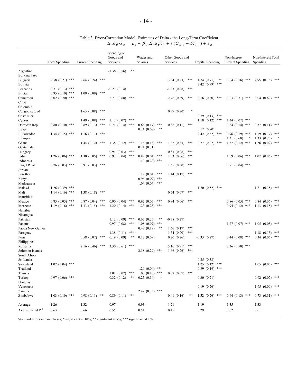#### Table 3. Error-Correction Model: Estimates of Delta - the Long-Term Coefficient  $\Delta \log G_{it} = \mu_i + \beta_{Gi} \Delta \log Y_t + \gamma (G_{it-1} - \delta Y_{t-1}) + \varepsilon_{it}$

|                       |                       |                         | Spending on<br>Goods and       |     | Wages and                      | Other Goods and                 |                     | Non-Interest            | Non-Interest Total  |
|-----------------------|-----------------------|-------------------------|--------------------------------|-----|--------------------------------|---------------------------------|---------------------|-------------------------|---------------------|
|                       | <b>Total Spending</b> | <b>Current Spending</b> | Services                       |     | Salaries                       | Services                        | Capital Spending    | <b>Current Spending</b> | Spending            |
| Argentina             |                       |                         | $-1.36(0.56)$                  | **  |                                |                                 |                     |                         |                     |
| Burkina Faso          |                       |                         |                                |     |                                |                                 |                     |                         |                     |
| Bulgaria              | $2.58(0.21)$ ***      | $2.64(0.24)$ ***        |                                |     |                                | ***<br>3.34(0.23)               | 1.74(0.71)<br>**    | $3.04(0.16)$ ***        | $2.95(0.16)$ ***    |
| Bolivia               |                       |                         |                                |     |                                |                                 | $3.42(0.79)$ ***    |                         |                     |
| <b>Barbados</b>       | $0.71(0.13)$ ***      |                         | $-0.23(0.14)$                  |     |                                | ***<br>$-1.93(0.28)$            |                     |                         |                     |
| Bhutan                | $0.95(0.10)$ ***      | $1.09(0.09)$ ***        |                                |     |                                |                                 |                     |                         |                     |
| Cameroon<br>Chile     | $3.02(0.70)$ ***      |                         | $2.73(0.68)$ ***               |     |                                | 2.76(0.69)<br>***               | $3.16(0.60)$ ***    | $3.03(0.71)$ ***        | $3.04$ $(0.69)$ *** |
| Colombia              |                       |                         |                                |     |                                |                                 |                     |                         |                     |
| Congo, Rep. of        |                       | 1.63(0.08)<br>***       |                                |     |                                | 0.37(0.20)<br>*                 |                     |                         |                     |
| Costa Rica            |                       |                         |                                |     |                                |                                 | $0.79(0.13)$ ***    |                         |                     |
| Cyprus                |                       | ***<br>1.49(0.08)       | $1.13(0.07)$ ***               |     |                                |                                 | $1.18(0.12)$ ***    | $1.34(0.07)$ ***        |                     |
| Domican Rep.          | $0.80(0.10)$ ***      | ***<br>0.89(0.13)       | $0.71(0.14)$ ***               |     | $0.66$ $(0.17)$ ***            | ***<br>0.86(0.11)               |                     | $0.84$ (0.14) ***       | $0.77$ $(0.11)$ *** |
| Egypt                 |                       |                         |                                |     | 0.21(0.08)<br>**               |                                 | 0.17(0.20)          |                         |                     |
| El Salvador           | $1.34(0.15)$ ***      | 1.16(0.17)<br>***       |                                |     |                                |                                 | $2.42(0.32)$ ***    | $0.96(0.19)$ ***        | 1.19(0.17)<br>***   |
| Ethiopia              |                       |                         |                                |     |                                |                                 |                     | 1.31(0.68)              | 1.33(0.73)          |
| Ghana                 |                       | $1.44(0.12)$ ***        | $1.38(0.12)$ ***               |     | $1.16(0.13)$ ***               | 1.32(0.35)<br>***               | $0.77$ $(0.22)$ *** | $1.37(0.12)$ ***        | $1.26$ $(0.09)$ *** |
| Guatemala             |                       |                         |                                |     | 0.24(0.31)                     | ***                             |                     |                         |                     |
| Hungary<br>India      | $1.26(0.06)$ ***      | ***<br>1.30(0.05)       | $0.91(0.03)$ ***<br>0.93(0.04) | *** | $0.82$ (0.04) ***              | 0.83(0.08)<br>1.03(0.06)<br>*** |                     | $1.09(0.06)$ ***        | $1.07(0.06)$ ***    |
| Indonesia             |                       |                         |                                |     | $1.10(0.22)$ ***               |                                 |                     |                         |                     |
| Iran, I.R. of         | $0.76(0.03)$ ***      | 0.91(0.03)<br>***       |                                |     |                                | 1.65(0.30)<br>***               |                     | $0.81(0.04)$ ***        |                     |
| Jordan                |                       |                         |                                |     |                                |                                 |                     |                         |                     |
| Lesotho               |                       |                         |                                |     | $1.12(0.04)$ ***               | 1.44(0.17)<br>***               |                     |                         |                     |
| Kenya                 |                       |                         |                                |     | $0.96(0.09)$ ***               |                                 |                     |                         |                     |
| Madagascar            |                       |                         |                                |     | $1.04(0.04)$ ***               |                                 |                     |                         |                     |
| Malawi                | $1.26(0.39)$ ***      |                         |                                |     |                                |                                 | $1.70(0.52)$ ***    |                         | $1.81(0.35)$ ***    |
| Mali                  | $1.14(0.16)$ ***      | 1.38(0.18)<br>***       |                                |     |                                | ***<br>0.74(0.07)               |                     |                         |                     |
| Mauritius             |                       |                         |                                |     |                                |                                 |                     |                         |                     |
| Mexico                | $0.85(0.05)$ ***      | 0.87(0.04)<br>***       | $0.90(0.04)$ ***               |     | $0.92(0.05)$ ***               | 0.84(0.06)<br>***               |                     | $0.86(0.05)$ ***        | $0.84$ $(0.06)$ *** |
| Morocco               | $1.19(0.16)$ ***      | $1.33(0.15)$ ***        | $1.20(0.14)$ ***               |     | $1.23(0.23)$ ***               |                                 |                     | $0.94(0.12)$ ***        | $1.13$ $(0.18)$ *** |
| Namibia               |                       |                         |                                |     |                                |                                 |                     |                         |                     |
| Nicaragua<br>Pakistan |                       |                         | $1.12(0.09)$ ***               |     | **                             |                                 |                     |                         |                     |
| Panama                |                       |                         | 0.97(0.08)                     | *** | 0.67(0.25)<br>$1.08(0.07)$ *** | $-0.38(0.27)$                   |                     | $1.27(0.07)$ ***        | $1.05(0.05)$ ***    |
| Papua New Guinea      |                       |                         |                                |     | 0.48(0.18)<br>**               | ***<br>1.66(0.17)               |                     |                         |                     |
| Paraguay              |                       |                         | 1.38(0.11)                     | *** |                                | ***<br>1.34(0.20)               |                     |                         | $1.18$ $(0.13)$ *** |
| Peru                  |                       | $0.58$ $(0.07)$ ***     | 0.19(0.09)                     | **  | 0.12(0.09)                     | 0.20(0.26)                      | $-0.33(0.27)$       | $0.44$ $(0.08)$ ***     | $0.34$ $(0.06)$ *** |
| Philippines           |                       |                         |                                |     |                                |                                 |                     |                         |                     |
| Romania               |                       | ***<br>2.16 (0.46)      | 3.30 $(0.61)$ ***              |     |                                | ***<br>5.16(0.71)               |                     | $2.36(0.50)$ ***        |                     |
| Solomon Islands       |                       |                         |                                |     | $2.18(0.29)$ ***               | 1.66(0.26)<br>***               |                     |                         |                     |
| South Africa          |                       |                         |                                |     |                                |                                 |                     |                         |                     |
| Sri Lanka             |                       |                         |                                |     |                                |                                 | 0.25(0.38)          |                         |                     |
| Swaziland             | $1.02(0.04)$ ***      |                         |                                |     |                                |                                 | $1.25(0.12)$ ***    |                         | $1.05$ $(0.05)$ *** |
| Thailand              |                       |                         |                                |     | $1.20(0.04)$ ***               |                                 | $0.89$ $(0.16)$ *** |                         |                     |
| Tunisia               |                       |                         | $1.01(0.07)$ ***               |     | $1.08(0.10)$ ***               | $0.89(0.07)$ ***                |                     |                         |                     |
| Turkey                | $0.97(0.06)$ ***      |                         | 0.32(0.12)                     | **  | $-0.25(0.14)$<br>$\ast$        |                                 | 0.30(0.21)          |                         | $0.92$ $(0.07)$ *** |
| Uruguay               |                       |                         |                                |     |                                |                                 |                     |                         |                     |
| Venezuela<br>Zambia   |                       |                         |                                |     |                                |                                 | $-0.19(0.26)$       |                         | $1.95(0.09)$ ***    |
| Zimbabwe              | $1.03(0.10)$ ***      | $0.98(0.11)$ ***        | $0.89(0.11)$ ***               |     | $2.49(0.73)$ ***               | 0.41(0.16)<br>**                | $1.52(0.26)$ ***    | $0.64(0.13)$ ***        | $0.73$ $(0.11)$ *** |
|                       |                       |                         |                                |     |                                |                                 |                     |                         |                     |
| Average               | 1.26                  | 1.32                    | 0.97                           |     | 0.93                           | 1.21                            | 1.19                | 1.35                    | 1.33                |
| Avg. adjusted $R^2$   | 0.63                  | 0.66                    | 0.55                           |     | 0.54                           | 0.45                            | 0.29                | 0.62                    | 0.61                |

Standard errors in parentheses; \* significant at 10%; \*\* significant at 5%; \*\*\* significant at 1%.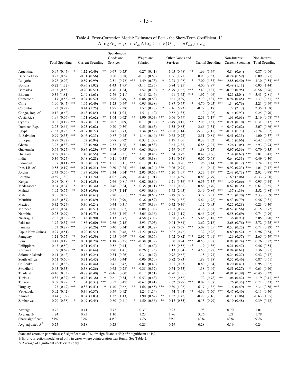Table 4. Error-Correction Model: Estimates of Beta - the Short-Term Coefficient 1/  $\Delta \log G_{ii} = \mu_i + \beta_{Gi} \Delta \log Y_i + \gamma (G_{ii-1} - \delta Y_{i-1}) + \varepsilon_{ii}$ 

|                       |                                |                                 | Spending on                      |     |                              |     |                              |                                  |                                |                                |
|-----------------------|--------------------------------|---------------------------------|----------------------------------|-----|------------------------------|-----|------------------------------|----------------------------------|--------------------------------|--------------------------------|
|                       |                                |                                 | Goods and                        |     | Wages and                    |     | Other Goods and              |                                  | Non-Interest                   | Non-Interest                   |
|                       | <b>Total Spending</b>          | <b>Current Spending</b>         | Services                         |     | Salaries                     |     | Services                     | Capital Spending                 | <b>Current Spending</b>        | <b>Total Spending</b>          |
| Argentina             | 0.97(0.47)                     | 1.12(0.49)                      | 0.67<br>(0.53)                   |     | 0.27(0.41)                   |     | **<br>1.05(0.48)             | 1.69(1.49)                       | 0.84(0.64)                     | 0.87(0.66)                     |
| Burkina Faso          | 0.23(0.67)                     | $-0.01(0.56)$                   | 0.50(0.58)                       |     | $-0.13(0.60)$                |     | 1.56(1.71)                   | 0.93(2.53)                       | $-0.24(0.59)$                  | 0.09(0.71)                     |
| Bulgaria              | 0.98(0.92)                     | 0.59(0.99)                      | (0.72)<br>2.51                   | *** | 1.49(0.73)                   | *   | 2.23(1.06)                   | $7.09$ $(1.37)$ ***              | $2.88(0.50)$ ***               | $3.30(0.54)$ ***               |
| Bolivia               | $-0.22(1.32)$                  | $-0.96(1.02)$                   | $-1.43(1.95)$                    |     | $-3.11(2.85)$                |     | 0.84(3.25)                   | 4.00 (8.87)                      | $-0.49(1.11)$                  | 0.05(1.44)                     |
| <b>Barbados</b>       | $-0.63(0.53)$                  | $-0.20(0.51)$                   | $-1.70$<br>(1.24)                |     | 1.52(0.70)                   | *   | $-5.79(1.62)$<br>***         | 2.43(0.87)<br>**                 | $-0.70(0.95)$                  | $-0.56(0.96)$                  |
| Bhutan                | $-0.34(1.81)$                  | $-2.49(1.63)$                   | 2.76<br>(2.11)                   |     | $-0.15(2.46)$                |     | ***<br>4.91 (1.62)           | 1.97(4.06)                       | 4.25(2.04)<br>*                | 5.43(2.81)                     |
| Cameroon              | **<br>1.17(0.53)               | 0.34(0.52)                      | (0.49)<br>0.98                   | *   | 0.86(0.60)                   |     | 0.61(0.39)                   | $2.79(0.81)$ ***                 | 0.94(0.45)<br>**               | **<br>1.37<br>(0.51)           |
| Chile                 | $1.90(0.45)$ ***               | 1.07(0.49)<br>**                | 1.23<br>(0.49)                   | **  | 0.95(0.68)                   |     | **<br>1.87(0.67)             | 4.70 $(0.95)$ ***                | 1.34(0.76)                     | $2.21 (0.69)$ ***              |
| Colombia              | 1.23(0.92)                     | 0.44(1.25)                      | 1.97(2.38)                       |     | 1.57(0.80)                   | *   | 2.16 (5.73)                  | $-0.22(3.18)$                    | 1.72(2.17)                     | 2.35 (1.58)                    |
| Congo, Rep. of        | 0.12(0.62)                     | $-0.48(0.85)$                   | 1.34<br>(1.05)                   |     | 1.51(1.12)                   |     | 0.52(1.85)                   | 1.12(1.26)                       | $-0.14(0.93)$                  | 0.25(0.90)                     |
| Costa Rica            | ***<br>1.99(0.66)              | **<br>1.51(0.62)                | (0.62)<br>1.64                   | **  | 1.90(0.63)                   | *** | 0.66(0.79)                   | 2.53(1.19)<br>**                 | 1.63(0.63)<br>**               | ***<br>2.16(0.68)              |
| Cyprus                | $0.35(0.12)$ ***               | 0.27(0.11)<br>**                | (0.09)<br>0.07                   |     | 0.17(0.10)                   | *   | $-0.49(0.18)$<br>**          | $2.08$ $(0.31)$ ***              | 0.21(0.10)<br>**               | **<br>0.31(0.12)               |
| Domican Rep.          | $2.23(0.64)$ ***               | 0.75(0.62)                      | 0.70<br>(0.59)                   |     | 0.55(0.63)                   |     | 1.35(0.85)                   | 2.66 (1.34)<br>∗                 | 0.47(0.62)                     | $2.07$ $(0.66)$ ***            |
| Egypt                 | $-1.33(0.75)$<br>$\ast$        | $-0.37(0.72)$                   | (0.73)<br>0.47                   |     | 1.34(0.52)                   | **  | $-0.08(1.14)$                | **<br>$-5.33(2.15)$              | $-0.11(0.73)$                  | $-1.24(0.82)$                  |
| El Salvador           | $0.99(0.35)$ ***               | 0.46(0.33)                      | 0.87<br>(0.45)                   | *   | 1.14(0.40)                   | *** | 0.62(0.72)                   | $2.51(0.81)$ ***                 | 0.41(0.35)                     | **<br>1.00(0.37)               |
| Ethiopia              | 0.79(0.82)                     | 1.52(0.94)                      | 0.78<br>(0.92)                   |     | 0.33(1.00)                   |     | 1.17(1.00)                   | 0.38(1.52)                       | $-0.15(0.66)$                  | $-0.42(0.67)$                  |
| Ghana                 | ***<br>3.25(0.83)              | 1.98(0.96)<br>**                | 2.57<br>(1.26)                   | *   | 1.06(0.88)                   |     | 3.65(2.37)                   | $6.85$ $(2.27)$ ***              | **<br>2.26(1.05)               | $2.93$ $(0.94)$ ***            |
| Guatemala             | **<br>0.64(0.27)               | ***<br>0.84(0.29)               | 1.79<br>(0.63)                   | **  | $-0.65(0.60)$                |     | **<br>2.59(0.99)             | $-1.88(1.25)$                    | 0.97(0.36)<br>**               | 0.70(0.35)                     |
| Hungary               | 0.59(0.45)                     | **<br>1.40(0.55)                | (0.31)<br>0.84                   | **  | 1.13(0.45)                   | **  | 0.34(0.72)                   | 0.47(0.66)                       | $2.34(0.62)$ ***               | **<br>1.01(0.47)               |
| India                 | $-0.36(0.27)$                  | $-0.48(0.28)$<br>*              | (0.38)<br>$-0.11$                |     | 0.01(0.38)                   |     | $-0.31(0.58)$                | 0.07(0.68)                       | $-0.64(0.31)$ **               | $-0.49(0.30)$                  |
| Indonesia             | $1.07(0.11)$ ***               | ***<br>0.83(0.12)               | 1.51<br>(0.11)                   | *** | 0.13(0.31)                   |     | 1.16(0.20)<br>***            | $1.96$ $(0.14)$ ***              | $1.01(0.12)$ ***               | $1.24(0.11)$ ***               |
| Iran, I.R. of         | $0.55$ $(0.19)$ ***            | 0.71(0.21)<br>***               | (0.25)<br>0.80                   | *** | $1.08$ $(0.24)$ ***          |     | $-0.06(0.71)$                | $1.54$ $(0.43)$ ***              | $0.92(0.23)$ ***               | ***<br>1.01(0.17)              |
| Jordan                | $2.43(0.56)$ ***               | 1.97(0.56)<br>***               | $3.34$ $(0.54)$ ***              |     | $2.05$ $(0.65)$ ***          |     | $5.20(1.09)$ ***             | $5.23$ $(1.37)$ ***              | $2.43(0.73)$ ***               | $2.92(0.78)$ ***               |
| Lesotho               | $-0.59(1.80)$                  | $-1.61(1.74)$                   | $-1.02$<br>(2.49)                |     | $-0.42(1.01)$                |     | 0.61(4.59)                   | 0.88(2.79)                       | $-1.69(2.06)$                  | $-0.33(2.00)$                  |
| Kenya                 | 0.98(0.48)<br>*                | $-0.91(0.58)$                   | (0.81)<br>$-2.66$                | *** | $0.02$ $(0.80)$              |     | ***<br>$-6.21(1.36)$         | $6.53$ $(1.37)$ ***              | $-1.40(0.66)$<br>*             | 0.95(0.44)                     |
| Madagascar            | *<br>0.64(0.34)                | 0.66(0.34)<br>*                 | 0.46<br>(0.24)                   | *   | $0.35$ $(0.11)$ ***          |     | 0.65(0.66)                   | $0.66$ $(0.70)$                  | 0.62(0.35)<br>∗                | *<br>0.61(0.35)                |
| Malawi                | **<br>1.92(0.77)               | $-0.23(0.96)$                   | 0.97<br>(1.14)                   |     | $-0.95(0.80)$                |     | 1.62(2.03)                   | $3.49(0.86)$ ***                 | 1.37(1.39)                     | **<br>2.52(0.84)               |
| Mali                  | 0.05(0.57)                     | $-0.14(0.61)$                   | $(0.51)$ ***<br>2.20             |     | $2.44(0.63)$ ***             |     | 0.49(0.57)                   | $3.29$ $(0.51)$ ***              | $2.27(0.70)$ ***               | $2.33$ $(0.59)$ ***            |
| Mauritius             | 0.48(0.87)                     | 0.46(0.89)                      | 0.33<br>(0.90)                   |     | 0.36(0.89)                   |     | 0.39(1.38)                   | 5.64 (1.98)<br>**                | 0.53(0.79)                     | 0.56(0.81)                     |
| Mexico                | 0.32(0.27)                     | 0.30(0.24)                      | 0.44(0.31)                       |     | 0.87(0.39)                   | **  | $-0.42(0.36)$                | 1.12(0.93)<br>**                 | 0.25(0.28)                     | 0.23(0.30)                     |
| Morocco               | $-0.32(0.64)$                  | $-0.86(0.57)$                   | $-0.30$<br>(0.67)                | *   | $0.08$ $(1.09)$              |     | $-0.67(0.99)$                | 4.36 (1.67)                      | $-0.52(0.56)$                  | $-0.15(0.72)$                  |
| Namibia               | $-0.25(0.99)$<br>**            | $-0.01(0.73)$                   | $-2.68$ $(1.49)$                 |     | $-3.65(2.16)$                |     | $-1.93(1.19)$                | -0.46 (2.96)                     | $-0.58(0.69)$                  | $-0.74(0.99)$<br>**            |
| Nicaragua<br>Pakistan | 2.05(0.88)<br>$1.92(0.57)$ *** | 1.43(0.90)<br>1.86(0.60)<br>*** | 1.13<br>(0.77)<br>2.66<br>(2.12) |     | 4.58 (3.06)<br>$-3.93(7.05)$ |     | 3.38 (1.73)<br>$-0.04(9.81)$ | 5.45 $(1.18)$ ***<br>3.62 (2.18) | 1.36(0.93)<br>$2.68(0.76)$ *** | 2.05(0.90)<br>$2.72(0.75)$ *** |
| Panama                | $1.53(0.29)$ ***               | 1.37(0.26)<br>***               | 0.40<br>(0.34)                   |     | $-0.01(0.22)$                |     | ***<br>2.78 (0.67)           | $5.09$ $(1.35)$ ***              | 0.57(0.25)<br>**               | **<br>0.71(0.29)               |
| Papua New Guinea      | 0.27(0.51)                     | 0.20(0.51)                      | 1.30<br>(0.48)                   | **  | $-1.22(0.47)$                | **  | 0.02(0.42)                   | 1.32(0.96)                       | 0.89(0.52)<br>∗                | 0.96(0.54)                     |
| Paraguay              | **<br>1.21(0.55)               | 0.86(0.59)                      | 2.95<br>(0.69)                   | *** | 0.61(0.56)                   |     | ***<br>3.62(0.82)            | $2.92$ $(1.01)$ ***              | 1.26(0.57)<br>**               | $2.65$ $(0.59)$ ***            |
| Peru                  | 0.41(0.19)<br>**               | 0.81(0.20)<br>***               | $(0.35)$ ***<br>1.18             |     | $-0.38(0.39)$                |     | 3.30(0.94)<br>***            | $-0.50(1.08)$                    | $0.98(0.24)$ ***               | $0.76$ $(0.22)$ ***            |
| Philippines           | 0.43(0.50)                     | 0.21(0.43)                      | 0.52<br>(0.44)                   |     | 0.13(0.62)                   |     | **<br>1.52(0.56)             | 1.19(1.36)                       | 0.21(0.47)                     | 0.46(0.54)                     |
| Romania               | 1.39(0.62)<br>**               | 0.92(0.64)                      | 0.90<br>(1.41)                   |     | $0.76$ $(1.25)$              |     | 3.13(1.64)                   | 4.50 $(1.27)$ ***                | 0.94(0.61)                     | 1.36(0.81)                     |
| Solomon Islands       | 0.41(0.42)                     | 0.18(0.24)                      | 0.34(0.26)                       |     | 0.31(0.19)                   |     | 0.98(0.62)                   | 1.15(1.93)                       | 0.24(0.27)                     | 0.42(0.47)                     |
| South Africa          | 0.61(0.60)                     | 0.31(0.45)                      | 0.45(0.44)                       |     | 0.06(0.50)                   |     | 0.82(0.83)                   | 1.89(1.38)                       | 0.55(0.46)                     | 0.87(0.61)                     |
| Sri Lanka             | 0.98(0.83)                     | 0.27(0.44)                      | 0.41(0.42)                       |     | $-0.03$ $(0.43)$             |     | 0.21(0.93)                   | 0.80(1.64)                       | 0.20(0.47)                     | 0.95(0.82)                     |
| Swaziland             | $-0.43(0.33)$                  | 0.38(0.26)                      | 0.62(0.28)                       | **  | 0.35(0.32)                   |     | 0.74(0.55)                   | $-1.38(1.09)$                    | 0.51(0.27)                     | $*$ -0.61 (0.40)               |
| Thailand              | $-0.40(0.33)$                  | $-0.78$ $(0.40)$<br>$\ast$      | $-0.46(0.60)$                    |     | 0.12(0.51)                   |     | $-1.20(1.50)$                | 1.14(0.74)                       | $-0.91(0.39)$ **               | $-0.45(0.32)$                  |
| Tunisia               | $0.83(0.39)$ **                | 0.73(0.38)                      | $0.61$ $(0.34)$                  | *   | 0.53(0.43)                   |     | 0.62(0.52)                   | $1.72(0.78)$ **                  | $1.06(0.42)$ **                | $1.19(0.41)$ ***               |
| Turkey                | 0.59(0.29)<br>$\ast$           | $1.04(0.32)$ ***                | $0.57$ $(0.47)$                  |     | $-0.67(0.41)$                |     | $2.62(0.79)$ ***             | $0.02$ $(1.08)$                  | $1.26(0.35)$ ***               | $0.71(0.33)$ **                |
| Uruguay               | $1.93(0.49)$ ***               | 0.83(0.43)<br>*                 | 1.40(0.62)                       | **  | $1.64$ $(0.55)$ ***          |     | 0.30(1.06)                   | $6.17$ $(1.32)$ ***              | $1.16(0.49)$ **                | $2.31(0.56)$ ***               |
| Venezuela             | 0.02(0.42)                     | 0.39(0.37)                      | 0.59(0.92)                       |     | $-1.24(1.54)$                |     | 4.74 (1.94)<br>**            | $-4.59$ $(1.50)$ ***             | 0.47(0.40)                     | 0.11(0.40)                     |
| Zambia                | 0.44(1.09)                     | 0.84(1.03)                      | 1.32(1.13)                       |     | 1.90(0.67)                   | **  | 1.52(1.42)                   | $-0.29$ $(2.16)$                 | $-0.73(1.06)$                  | $-0.63$ $(1.05)$               |
| Zimbabwe              | $\ast$<br>0.70(0.38)           | 0.49(0.45)                      | 0.80(0.41)                       |     | $*$ 1.50 (0.56)              | **  | 0.17(0.55)                   | $-0.15(0.99)$                    | 0.10(0.48)                     | 0.39(0.42)                     |
|                       |                                |                                 |                                  |     |                              |     |                              |                                  |                                |                                |
| Average               | 0.72                           | 0.41                            | 0.77                             |     | 0.37                         |     | 0.97                         | 1.98                             | 0.70                           | 1.01                           |
| Average 2/            | 1.24                           | 0.93                            | 1.10                             |     | 1.23                         |     | 1.76                         | 3.26                             | 1.21                           | 1.78                           |
| Share significant     | 51%                            | 37%                             | 43%                              |     | 33%                          |     | 35%                          | 49%                              | 49%                            | 53%                            |
| Avg. adjusted $R^2$   | 0.25                           | 0.18                            | 0.23                             |     | 0.25                         |     | 0.29                         | 0.28                             | 0.19                           | 0.24                           |
|                       |                                |                                 |                                  |     |                              |     |                              |                                  |                                |                                |

Standard errors in parentheses; \* significant at 10%; \*\* significant at 5%; \*\*\* significant at 1%.

1/ Error-correction model used only in cases where cointegration was found. See Table 2.

2/ Average of significant coefficients only.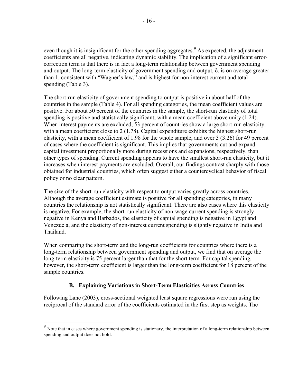even though it is insignificant for the other spending aggregates.<sup>9</sup> As expected, the adjustment coefficients are all negative, indicating dynamic stability. The implication of a significant errorcorrection term is that there is in fact a long-term relationship between government spending and output. The long-term elasticity of government spending and output,  $\delta$ , is on average greater than 1, consistent with "Wagner's law," and is highest for non-interest current and total spending (Table 3).

The short-run elasticity of government spending to output is positive in about half of the countries in the sample (Table 4). For all spending categories, the mean coefficient values are positive. For about 50 percent of the countries in the sample, the short-run elasticity of total spending is positive and statistically significant, with a mean coefficient above unity (1.24). When interest payments are excluded, 53 percent of countries show a large short-run elasticity, with a mean coefficient close to 2 (1.78). Capital expenditure exhibits the highest short-run elasticity, with a mean coefficient of 1.98 for the whole sample, and over 3 (3.26) for 49 percent of cases where the coefficient is significant. This implies that governments cut and expand capital investment proportionally more during recessions and expansions, respectively, than other types of spending. Current spending appears to have the smallest short-run elasticity, but it increases when interest payments are excluded. Overall, our findings contrast sharply with those obtained for industrial countries, which often suggest either a countercyclical behavior of fiscal policy or no clear pattern.

The size of the short-run elasticity with respect to output varies greatly across countries. Although the average coefficient estimate is positive for all spending categories, in many countries the relationship is not statistically significant. There are also cases where this elasticity is negative. For example, the short-run elasticity of non-wage current spending is strongly negative in Kenya and Barbados, the elasticity of capital spending is negative in Egypt and Venezuela, and the elasticity of non-interest current spending is slightly negative in India and Thailand.

When comparing the short-term and the long-run coefficients for countries where there is a long-term relationship between government spending and output, we find that on average the long-term elasticity is 75 percent larger than that for the short term. For capital spending, however, the short-term coefficient is larger than the long-term coefficient for 18 percent of the sample countries.

# **B. Explaining Variations in Short-Term Elasticities Across Countries**

Following Lane (2003), cross-sectional weighted least square regressions were run using the reciprocal of the standard error of the coefficients estimated in the first step as weights. The

 $\overline{a}$ 

<sup>&</sup>lt;sup>9</sup> Note that in cases where government spending is stationary, the interpretation of a long-term relationship between spending and output does not hold.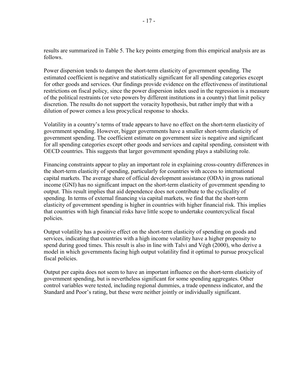results are summarized in Table 5. The key points emerging from this empirical analysis are as follows.

Power dispersion tends to dampen the short-term elasticity of government spending. The estimated coefficient is negative and statistically significant for all spending categories except for other goods and services. Our findings provide evidence on the effectiveness of institutional restrictions on fiscal policy, since the power dispersion index used in the regression is a measure of the political restraints (or veto powers by different institutions in a country) that limit policy discretion. The results do not support the voracity hypothesis, but rather imply that with a dilution of power comes a less procyclical response to shocks.

Volatility in a country's terms of trade appears to have no effect on the short-term elasticity of government spending. However, bigger governments have a smaller short-term elasticity of government spending. The coefficient estimate on government size is negative and significant for all spending categories except other goods and services and capital spending, consistent with OECD countries. This suggests that larger government spending plays a stabilizing role.

Financing constraints appear to play an important role in explaining cross-country differences in the short-term elasticity of spending, particularly for countries with access to international capital markets. The average share of official development assistance (ODA) in gross national income (GNI) has no significant impact on the short-term elasticity of government spending to output. This result implies that aid dependence does not contribute to the cyclicality of spending. In terms of external financing via capital markets, we find that the short-term elasticity of government spending is higher in countries with higher financial risk. This implies that countries with high financial risks have little scope to undertake countercyclical fiscal policies.

Output volatility has a positive effect on the short-term elasticity of spending on goods and services, indicating that countries with a high income volatility have a higher propensity to spend during good times. This result is also in line with Talvi and Végh (2000), who derive a model in which governments facing high output volatility find it optimal to pursue procyclical fiscal policies.

Output per capita does not seem to have an important influence on the short-term elasticity of government spending, but is nevertheless significant for some spending aggregates. Other control variables were tested, including regional dummies, a trade openness indicator, and the Standard and Poor's rating, but these were neither jointly or individually significant.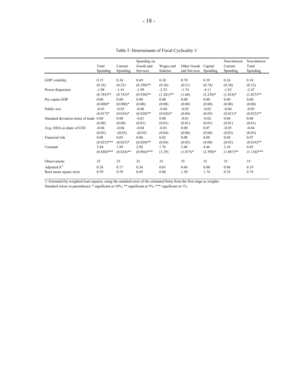|                                   | Total<br>Spending | Current<br>Spending | Spending on<br>Goods and<br>Services | Wages and<br>Salaries | Other Goods<br>and Services | Capital<br>Spending | Non-Interest<br>Current<br>Spending | Non-Interest<br>Total<br>Spending |
|-----------------------------------|-------------------|---------------------|--------------------------------------|-----------------------|-----------------------------|---------------------|-------------------------------------|-----------------------------------|
| GDP volatility                    | 0.15              | 0.34                | 0.69                                 | 0.10                  | 0.70                        | 0.39                | 0.26                                | 0.10                              |
|                                   | (0.24)            | (0.23)              | $(0.290)$ **                         | (0.36)                | (0.51)                      | (0.74)              | (0.30)                              | (0.32)                            |
| Power dispersion                  | $-1.98$           | $-1.41$             | $-1.99$                              | $-2.53$               | $-1.74$                     | $-4.11$             | $-1.82$                             | $-2.47$                           |
|                                   | $(0.785)$ **      | $(0.783)*$          | $(0.930)$ **                         | $(1.201)$ **          | (1.60)                      | $(2.250)*$          | $(1.018)*$                          | $(1.027)$ **                      |
| Per capita GDP                    | 0.00              | 0.00                | 0.00                                 | 0.00                  | 0.00                        | 0.00                | 0.00                                | 0.00                              |
|                                   | $(0.000)*$        | $(0.000)*$          | (0.00)                               | (0.00)                | (0.00)                      | (0.00)              | (0.00)                              | (0.00)                            |
| Public size                       | $-0.03$           | $-0.03$             | $-0.06$                              | $-0.04$               | $-0.05$                     | $-0.03$             | $-0.04$                             | $-0.05$                           |
|                                   | $(0.017)^*$       | $(0.016)*$          | $(0.020)$ **                         | $(0.026)*$            | (0.04)                      | (0.05)              | $(0.021)$ *                         | $(0.023)$ **                      |
| Standard deviation terms of trade | 0.00              | 0.00                | $-0.01$                              | 0.00                  | $-0.01$                     | $-0.02$             | 0.00                                | 0.00                              |
|                                   | (0.00)            | (0.00)              | (0.01)                               | (0.01)                | (0.01)                      | (0.01)              | (0.01)                              | (0.01)                            |
| Avg. ODA as share of GNI          | $-0.04$           | $-0.04$             | $-0.04$                              | $-0.01$               | 0.00                        | 0.07                | $-0.05$                             | $-0.04$                           |
|                                   | (0.03)            | $-(0.03)$           | $-(0.03)$                            | (0.04)                | (0.06)                      | (0.08)              | (0.03)                              | (0.03)                            |
| Financial risk                    | 0.08              | 0.05                | 0.06                                 | 0.02                  | 0.08                        | 0.08                | 0.04                                | 0.07                              |
|                                   | $(0.025)$ ***     | $(0.025)*$          | $(0.028)$ **                         | (0.04)                | (0.05)                      | (0.08)              | (0.03)                              | $(0.034)$ **                      |
| Constant                          | 3.44              | 1.89                | 2.96                                 | 1.76                  | 3.48                        | 4.46                | 2.34                                | 4.03                              |
|                                   | $(0.840)$ ***     | $(0.824)$ **        | $(0.966)$ ***                        | (1.29)                | $(1.875)*$                  | $(2.590)*$          | $(1.087)$ **                        | $(1.134)$ ***                     |
| Observations                      | 35                | 35                  | 35                                   | 35                    | 35                          | 35                  | 35                                  | 35                                |
| Adjusted $R^2$                    | 0.26              | 0.17                | 0.36                                 | 0.01                  | 0.06                        | 0.00                | 0.08                                | 0.19                              |
| Root mean square error            | 0.59              | 0.59                | 0.69                                 | 0.86                  | 1.30                        | 1.74                | 0.76                                | 0.78                              |

Table 5. Determinants of Fiscal Cyclicality 1/

1/ Estimated by weighted least squares, using the standard error of the estimated betas from the first stage as weights.

Standard errors in parentheses; \* significant at 10%; \*\* significant at 5%; \*\*\* significant at 1%.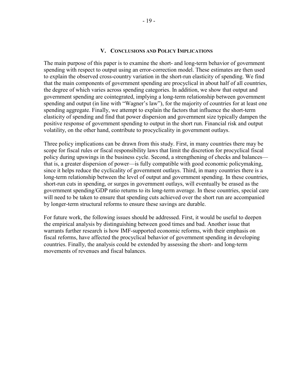## **V. CONCLUSIONS AND POLICY IMPLICATIONS**

The main purpose of this paper is to examine the short- and long-term behavior of government spending with respect to output using an error-correction model. These estimates are then used to explain the observed cross-country variation in the short-run elasticity of spending. We find that the main components of government spending are procyclical in about half of all countries, the degree of which varies across spending categories. In addition, we show that output and government spending are cointegrated, implying a long-term relationship between government spending and output (in line with "Wagner's law"), for the majority of countries for at least one spending aggregate. Finally, we attempt to explain the factors that influence the short-term elasticity of spending and find that power dispersion and government size typically dampen the positive response of government spending to output in the short run. Financial risk and output volatility, on the other hand, contribute to procyclicality in government outlays.

Three policy implications can be drawn from this study. First, in many countries there may be scope for fiscal rules or fiscal responsibility laws that limit the discretion for procyclical fiscal policy during upswings in the business cycle. Second, a strengthening of checks and balances that is, a greater dispersion of power—is fully compatible with good economic policymaking, since it helps reduce the cyclicality of government outlays. Third, in many countries there is a long-term relationship between the level of output and government spending. In these countries, short-run cuts in spending, or surges in government outlays, will eventually be erased as the government spending/GDP ratio returns to its long-term average. In these countries, special care will need to be taken to ensure that spending cuts achieved over the short run are accompanied by longer-term structural reforms to ensure these savings are durable.

For future work, the following issues should be addressed. First, it would be useful to deepen the empirical analysis by distinguishing between good times and bad. Another issue that warrants further research is how IMF-supported economic reforms, with their emphasis on fiscal reforms, have affected the procyclical behavior of government spending in developing countries. Finally, the analysis could be extended by assessing the short- and long-term movements of revenues and fiscal balances.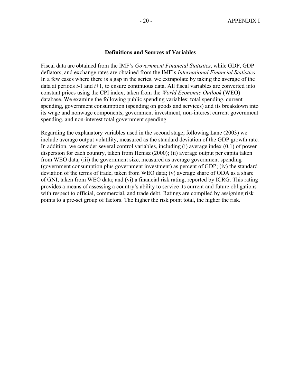#### **Definitions and Sources of Variables**

Fiscal data are obtained from the IMF's *Government Financial Statistics*, while GDP, GDP deflators, and exchange rates are obtained from the IMF's *International Financial Statistics*. In a few cases where there is a gap in the series, we extrapolate by taking the average of the data at periods *t*-1 and *t*+1, to ensure continuous data. All fiscal variables are converted into constant prices using the CPI index, taken from the *World Economic Outlook* (WEO) database. We examine the following public spending variables: total spending, current spending, government consumption (spending on goods and services) and its breakdown into its wage and nonwage components, government investment, non-interest current government spending, and non-interest total government spending.

Regarding the explanatory variables used in the second stage, following Lane (2003) we include average output volatility, measured as the standard deviation of the GDP growth rate. In addition, we consider several control variables, including (i) average index (0,1) of power dispersion for each country, taken from Henisz (2000); (ii) average output per capita taken from WEO data; (iii) the government size, measured as average government spending (government consumption plus government investment) as percent of GDP; (iv) the standard deviation of the terms of trade, taken from WEO data; (v) average share of ODA as a share of GNI, taken from WEO data; and (vi) a financial risk rating, reported by ICRG. This rating provides a means of assessing a country's ability to service its current and future obligations with respect to official, commercial, and trade debt. Ratings are compiled by assigning risk points to a pre-set group of factors. The higher the risk point total, the higher the risk.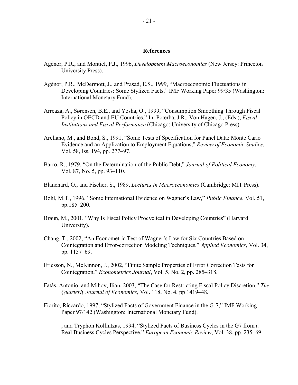#### **References**

- Agénor, P.R., and Montiel, P.J., 1996, *Development Macroeconomics* (New Jersey: Princeton University Press).
- Agénor, P.R., McDermott, J., and Prasad, E.S., 1999, "Macroeconomic Fluctuations in Developing Countries: Some Stylized Facts," IMF Working Paper 99/35 (Washington: International Monetary Fund).
- Arreaza, A., Sørensen, B.E., and Yosha, O., 1999, "Consumption Smoothing Through Fiscal Policy in OECD and EU Countries." In: Poterba, J.R., Von Hagen, J., (Eds.), *Fiscal Institutions and Fiscal Performance* (Chicago: University of Chicago Press).
- Arellano, M., and Bond, S., 1991, "Some Tests of Specification for Panel Data: Monte Carlo Evidence and an Application to Employment Equations," *Review of Economic Studies*, Vol. 58, Iss. 194, pp. 277–97.
- Barro, R., 1979, "On the Determination of the Public Debt," *Journal of Political Economy*, Vol. 87, No. 5, pp. 93–110.
- Blanchard, O., and Fischer, S., 1989, *Lectures in Macroeconomics* (Cambridge: MIT Press).
- Bohl, M.T., 1996, "Some International Evidence on Wagner's Law," *Public Finance*, Vol. 51, pp.185–200.
- Braun, M., 2001, "Why Is Fiscal Policy Procyclical in Developing Countries" (Harvard University).
- Chang, T., 2002, "An Econometric Test of Wagner's Law for Six Countries Based on Cointegration and Error-correction Modeling Techniques," *Applied Economics*, Vol. 34, pp. 1157–69.
- Ericsson, N., McKinnon, J., 2002, "Finite Sample Properties of Error Correction Tests for Cointegration," *Econometrics Journal*, Vol. 5, No. 2, pp. 285–318.
- Fatás, Antonio, and Mihov, Ilian, 2003, "The Case for Restricting Fiscal Policy Discretion," *The Quarterly Journal of Economics*, Vol. 118, No. 4, pp 1419–48.
- Fiorito, Riccardo, 1997, "Stylized Facts of Government Finance in the G-7," IMF Working Paper 97/142 (Washington: International Monetary Fund).
- ———, and Tryphon Kollintzas, 1994, "Stylized Facts of Business Cycles in the G7 from a Real Business Cycles Perspective," *European Economic Review*, Vol. 38, pp. 235–69.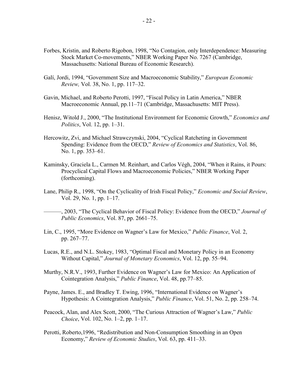- Forbes, Kristin, and Roberto Rigobon, 1998, "No Contagion, only Interdependence: Measuring Stock Market Co-movements," NBER Working Paper No. 7267 (Cambridge, Massachusetts: National Bureau of Economic Research).
- Galí, Jordi, 1994, "Government Size and Macroeconomic Stability," *European Economic Review,* Vol. 38, No. 1, pp. 117–32.
- Gavin, Michael, and Roberto Perotti, 1997, "Fiscal Policy in Latin America," NBER Macroeconomic Annual, pp.11–71 (Cambridge, Massachusetts: MIT Press).
- Henisz, Witold J., 2000, "The Institutional Environment for Economic Growth," *Economics and Politics*, Vol. 12, pp. 1–31.
- Hercowitz, Zvi, and Michael Strawczynski, 2004, "Cyclical Ratcheting in Government Spending: Evidence from the OECD," *Review of Economics and Statistics*, Vol. 86, No. 1, pp. 353–61.
- Kaminsky, Graciela L., Carmen M. Reinhart, and Carlos Végh, 2004, "When it Rains, it Pours: Procyclical Capital Flows and Macroeconomic Policies," NBER Working Paper (forthcoming).
- Lane, Philip R., 1998, "On the Cyclicality of Irish Fiscal Policy," *Economic and Social Review*, Vol. 29, No. 1, pp. 1–17.
- ———, 2003, "The Cyclical Behavior of Fiscal Policy: Evidence from the OECD," *Journal of Public Economics*, Vol. 87, pp. 2661–75.
- Lin, C., 1995, "More Evidence on Wagner's Law for Mexico," *Public Finance*, Vol. 2, pp. 267–77.
- Lucas, R.E., and N.L. Stokey, 1983, "Optimal Fiscal and Monetary Policy in an Economy Without Capital," *Journal of Monetary Economics*, Vol. 12, pp. 55–94.
- Murthy, N.R.V., 1993, Further Evidence on Wagner's Law for Mexico: An Application of Cointegration Analysis," *Public Finance*, Vol. 48, pp.77–85.
- Payne, James. E., and Bradley T. Ewing, 1996, "International Evidence on Wagner's Hypothesis: A Cointegration Analysis," *Public Finance*, Vol. 51, No. 2, pp. 258–74.
- Peacock, Alan, and Alex Scott, 2000, "The Curious Attraction of Wagner's Law," *Public Choice*, Vol. 102, No. 1–2, pp. 1–17.
- Perotti, Roberto,1996, "Redistribution and Non-Consumption Smoothing in an Open Economy," *Review of Economic Studies*, Vol. 63, pp. 411–33.